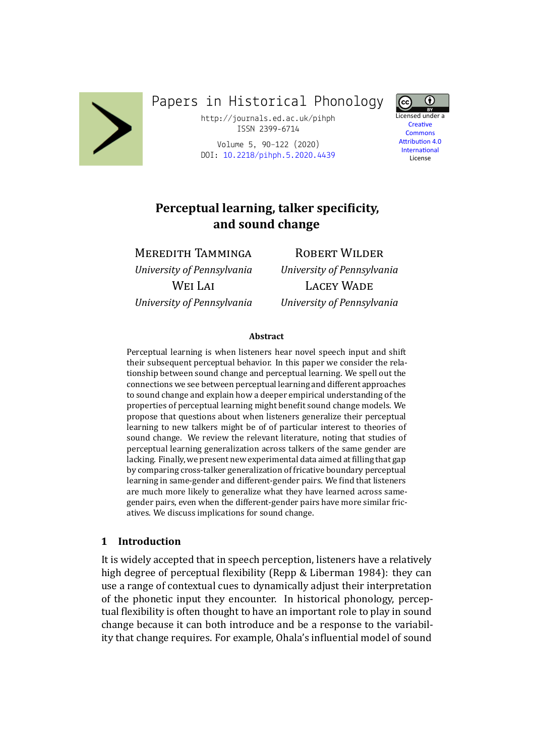

Papers in Historical Phonology

http://journals.ed.ac.uk/pihph ISSN 2399-6714

Volume 5, 90–122 (2020) DOI: 10.2218/pihph.5.2020.4439



Creative Commons **Attribution 4.0 International** License

# **Perceptual [learning, talker spe](https://doi.org/10.2218/pihph.5.2020.4439)cificity, and sound change**

# MEREDITH TAMMINGA

*University of Pennsylvania* WEI LAI *University of Pennsylvania*

ROBERT WILDER *University of Pennsylvania* LACEY WADE *University of Pennsylvania*

#### **Abstract**

Perceptual learning is when listeners hear novel speech input and shift their subsequent perceptual behavior. In this paper we consider the relationship between sound change and perceptual learning. We spell out the connections we see between perceptual learning and different approaches to sound change and explain how a deeper empirical understanding of the properties of perceptual learning might benefit sound change models. We propose that questions about when listeners generalize their perceptual learning to new talkers might be of of particular interest to theories of sound change. We review the relevant literature, noting that studies of perceptual learning generalization across talkers of the same gender are lacking. Finally, we present new experimental data aimed at filling that gap by comparing cross-talker generalization of fricative boundary perceptual learning in same-gender and different-gender pairs. We find that listeners are much more likely to generalize what they have learned across samegender pairs, even when the different-gender pairs have more similar fricatives. We discuss implications for sound change.

#### **1 Introduction**

It is widely accepted that in speech perception, listeners have a relatively high degree of perceptual flexibility (Repp & Liberman 1984): they can use a range of contextual cues to dynamically adjust their interpretation of the phonetic input they encounter. In historical phonology, perceptual flexibility is often thought to hav[e an important role to pla](#page-30-0)y in sound change because it can both introduce and be a response to the variability that change requires. For example, Ohala's influential model of sound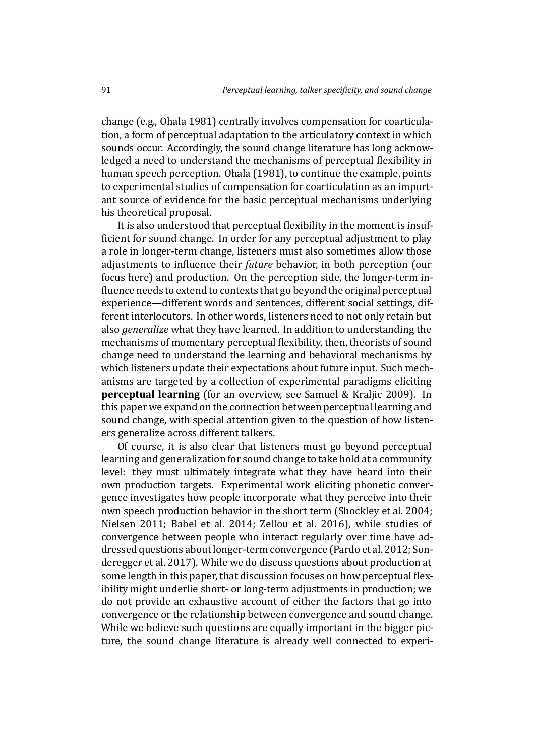change (e.g., Ohala 1981) centrally involves compensation for coarticulation, a form of perceptual adaptation to the articulatory context in which sounds occur. Accordingly, the sound change literature has long acknowledged a nee[d to underst](#page-30-1)and the mechanisms of perceptual flexibility in human speech perception. Ohala (1981), to continue the example, points to experimental studies of compensation for coarticulation as an important source of evidence for the basic perceptual mechanisms underlying his theoretical proposal.

It is also understood th[at perceptual](#page-30-1) flexibility in the moment is insufficient for sound change. In order for any perceptual adjustment to play a role in longer-term change, listeners must also sometimes allow those adjustments to influence their *future* behavior, in both perception (our focus here) and production. On the perception side, the longer-term influence needs to extend to contexts that go beyond the original perceptual experience—different words and sentences, different social settings, different interlocutors. In other words, listeners need to not only retain but also *generalize* what they have learned. In addition to understanding the mechanisms of momentary perceptual flexibility, then, theorists of sound change need to understand the learning and behavioral mechanisms by which listeners update their expectations about future input. Such mechanisms are targeted by a collection of experimental paradigms eliciting **perceptual learning** (for an overview, see Samuel & Kraljic 2009). In this paper we expand on the connection between perceptual learning and sound change, with special attention given to the question of how listeners generalize across different talkers.

Of course, it is also clear that listeners [must go beyond percep](#page-31-0)tual learning and generalization for sound change to take hold at a community level: they must ultimately integrate what they have heard into their own production targets. Experimental work eliciting phonetic convergence investigates how people incorporate what they perceive into their own speech production behavior in the short term (Shockley et al. 2004; Nielsen 2011; Babel et al. 2014; Zellou et al. 2016), while studies of convergence between people who interact regularly over time have addressed questions about longer-term convergence ([Pardo et al.](#page-31-1) 2012; [Son](#page-31-1)[deregger et al](#page-30-2). [2017\). While we do](#page-27-0) [discuss ques](#page-32-0)t[ions a](#page-32-0)bout production at some length in this paper, that discussion focuses on how perceptual flexibility might underlie short- or long-term adjustm[ents in production](#page-30-3)[; we](#page-31-2) [do not provide an e](#page-31-2)xhaustive account of either the factors that go into convergence or the relationship between convergence and sound change. While we believe such questions are equally important in the bigger picture, the sound change literature is already well connected to experi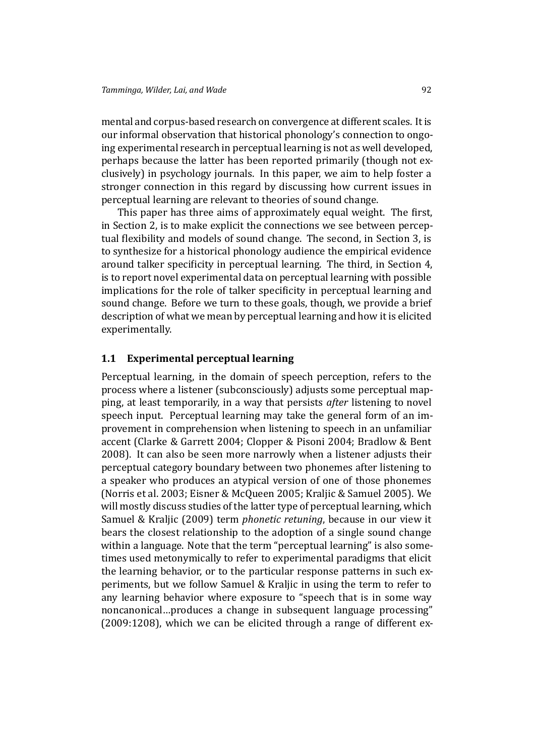mental and corpus-based research on convergence at different scales. It is our informal observation that historical phonology's connection to ongoing experimental research in perceptual learning is not as well developed, perhaps because the latter has been reported primarily (though not exclusively) in psychology journals. In this paper, we aim to help foster a stronger connection in this regard by discussing how current issues in perceptual learning are relevant to theories of sound change.

This paper has three aims of approximately equal weight. The first, in Section 2, is to make explicit the connections we see between perceptual flexibility and models of sound change. The second, in Section 3, is to synthesize for a historical phonology audience the empirical evidence around ta[lke](#page-4-0)r specificity in perceptual learning. The third, in Section 4, is to report novel experimental data on perceptual learning with pos[sib](#page-10-0)le implications for the role of talker specificity in perceptual learning and sound change. Before we turn to these goals, though, we provide a bri[ef](#page-14-0) description of what we mean by perceptual learning and how it is elicited experimentally.

### **1.1 Experimental perceptual learning**

Perceptual learning, in the domain of speech perception, refers to the process where a listener (subconsciously) adjusts some perceptual mapping, at least temporarily, in a way that persists *after* listening to novel speech input. Perceptual learning may take the general form of an improvement in comprehension when listening to speech in an unfamiliar accent (Clarke & Garrett 2004; Clopper & Pisoni 2004; Bradlow & Bent 2008). It can also be seen more narrowly when a listener adjusts their perceptual category boundary between two phonemes after listening to a speak[er who produces an at](#page-27-1)[ypical version of one of](#page-27-2) [those phonemes](#page-27-3) [\(Norr](#page-27-3)is et al. 2003; Eisner & McQueen 2005; Kraljic & Samuel 2005). We will mostly discuss studies of the latter type of perceptual learning, which Samuel & Kraljic (2009) term *phonetic retuning*, because in our view it [bears the closest r](#page-30-4)[elationship to the adopti](#page-28-0)[on of a single sound ch](#page-29-0)ange within a language. Note that the term "perceptual learning" is also some[times used metonymica](#page-31-0)lly to refer to experimental paradigms that elicit the learning behavior, or to the particular response patterns in such experiments, but we follow Samuel & Kraljic in using the term to refer to any learning behavior where exposure to "speech that is in some way noncanonical…produces a change in subsequent language processing" (2009:1208), which we c[an be elicited thr](#page-31-0)ough a range of different ex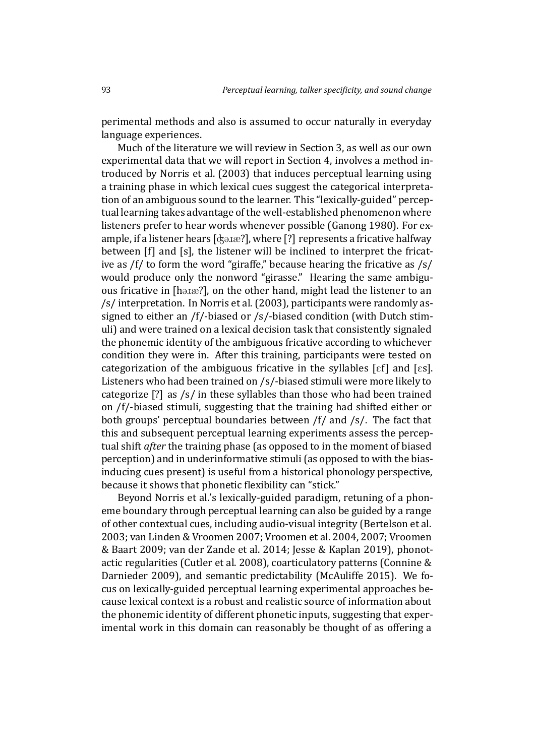perimental methods and also is assumed to occur naturally in everyday language experiences.

Much of the literature we will review in Section 3, as well as our own experimental data that we will report in Section 4, involves a method introduced by Norris et al. (2003) that induces perceptual learning using a training phase in which lexical cues suggest thec[at](#page-10-0)egorical interpretation of an ambiguous sound to the learner. This "l[ex](#page-14-0)ically-guided" perceptual learning [takes advantage of](#page-30-4) the well-established phenomenon where listeners prefer to hear words whenever possible (Ganong 1980). For example, if a listener hears [ $\alpha$ ], where [?] represents a fricative halfway between [f] and [s], the listener will be inclined to interpret the fricative as /f/ to form the word "giraffe," because hear[ing the fricativ](#page-28-1)e as /s/ would produce only the nonword "girasse." Hearing the same ambiguous fricative in [hatae?], on the other hand, might lead the listener to an /s/ interpretation. In Norris et al. (2003), participants were randomly assigned to either an /f/-biased or /s/-biased condition (with Dutch stimuli) and were trained on a lexical decision task that consistently signaled the phonemic identit[y of the amb](#page-30-4)i[guous](#page-30-4) fricative according to whichever condition they were in. After this training, participants were tested on categorization of the ambiguous fricative in the syllables  $[\epsilon f]$  and  $[\epsilon s]$ . Listeners who had been trained on /s/-biased stimuli were more likely to categorize [?] as /s/ in these syllables than those who had been trained on /f/-biased stimuli, suggesting that the training had shifted either or both groups' perceptual boundaries between /f/ and /s/. The fact that this and subsequent perceptual learning experiments assess the perceptual shift *after* the training phase (as opposed to in the moment of biased perception) and in underinformative stimuli (as opposed to with the biasinducing cues present) is useful from a historical phonology perspective, because it shows that phonetic flexibility can "stick."

Beyond Norris et al.'s lexically-guided paradigm, retuning of a phoneme boundary through perceptual learning can also be guided by a range of other contextual cues, including audio-visual integrity (Bertelson et al. 2003; van L[inden & Vroo](#page-30-4)men 2007; Vroomen et al. 2004, 2007; Vroomen & Baart 2009; van der Zande et al. 2014; Jesse & Kaplan 2019), phonotactic regularities (Cutler et al. 2008), coarticulatory patte[rns \(Connine &](#page-27-4) [Darni](#page-27-4)eder [2009\), and semantic pr](#page-29-1)[edictability \(McAuliff](#page-31-3)e [201](#page-31-4)[5\). We fo](#page-31-5)[cus on lexicall](#page-31-5)[y-guided perceptual learnin](#page-31-6)[g experimental appro](#page-28-2)aches because lexical cont[ext is a robust and](#page-28-3) realistic source of inform[ation about](#page-27-5) [the phonemic ide](#page-27-5)ntity of different phonetic inpu[ts, suggesting th](#page-29-2)at experimental work in this domain can reasonably be thought of as offering a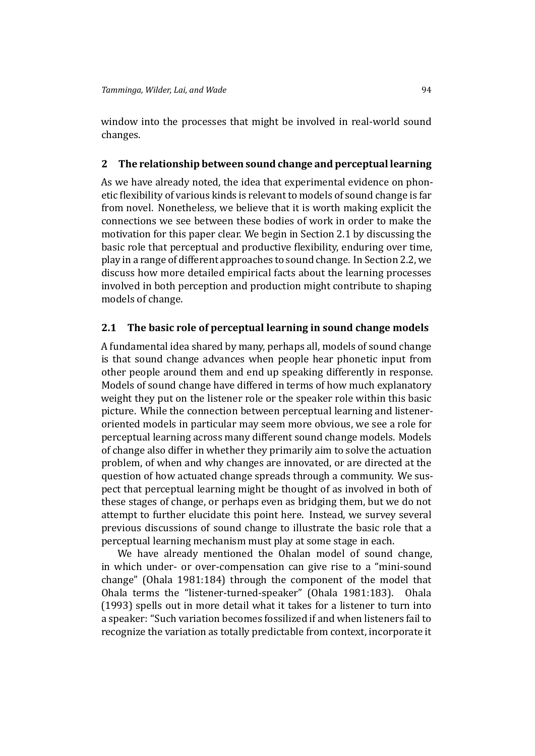window into the processes that might be involved in real-world sound changes.

### **2 The relationship between sound change and perceptual learning**

<span id="page-4-0"></span>As we have already noted, the idea that experimental evidence on phonetic flexibility of various kinds is relevant to models of sound change is far from novel. Nonetheless, we believe that it is worth making explicit the connections we see between these bodies of work in order to make the motivation for this paper clear. We begin in Section 2.1 by discussing the basic role that perceptual and productive flexibility, enduring over time, play in a range of different approaches to sound change. In Section 2.2, we discuss how more detailed empirical facts about t[he le](#page-4-1)arning processes involved in both perception and production might contribute to shaping models of change.

# **2.1 The basic role of perceptual learning in sound change models**

<span id="page-4-1"></span>A fundamental idea shared by many, perhaps all, models of sound change is that sound change advances when people hear phonetic input from other people around them and end up speaking differently in response. Models of sound change have differed in terms of how much explanatory weight they put on the listener role or the speaker role within this basic picture. While the connection between perceptual learning and listeneroriented models in particular may seem more obvious, we see a role for perceptual learning across many different sound change models. Models of change also differ in whether they primarily aim to solve the actuation problem, of when and why changes are innovated, or are directed at the question of how actuated change spreads through a community. We suspect that perceptual learning might be thought of as involved in both of these stages of change, or perhaps even as bridging them, but we do not attempt to further elucidate this point here. Instead, we survey several previous discussions of sound change to illustrate the basic role that a perceptual learning mechanism must play at some stage in each.

We have already mentioned the Ohalan model of sound change, in which under- or over-compensation can give rise to a "mini-sound change" (Ohala 1981:184) through the component of the model that Ohala terms the "listener-turned-speaker" (Ohala 1981:183). Ohala (1993) spells out in more detail what it takes for a listener to turn into a speaker[: "Such varia](#page-30-1)tion becomes fossilized if and when listeners fail to recognize the variation as totally predictablef[rom context,](#page-30-1) incorpo[rate it](#page-30-5)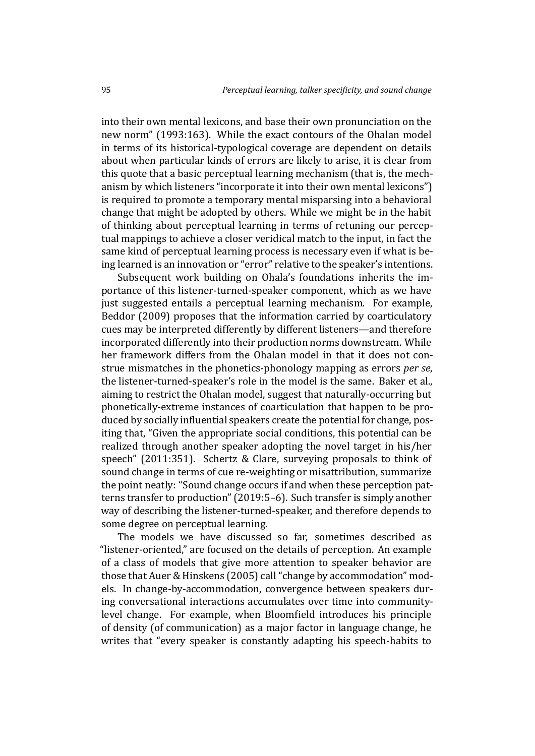into their own mental lexicons, and base their own pronunciation on the new norm" (1993:163). While the exact contours of the Ohalan model in terms of its historical-typological coverage are dependent on details about when particular kinds of errors are likely to arise, it is clear from this quote th[at a ba](#page-30-5)sic perceptual learning mechanism (that is, the mechanism by which listeners "incorporate it into their own mental lexicons") is required to promote a temporary mental misparsing into a behavioral change that might be adopted by others. While we might be in the habit of thinking about perceptual learning in terms of retuning our perceptual mappings to achieve a closer veridical match to the input, in fact the same kind of perceptual learning process is necessary even if what is being learned is an innovation or "error" relative to the speaker's intentions.

Subsequent work building on Ohala's foundations inherits the importance of this listener-turned-speaker component, which as we have just suggested entails a perceptual learning mechanism. For example, Beddor (2009) proposes that the information carried by coarticulatory cues may be interpreted differently by different listeners—and therefore incorporated differently into their production norms downstream. While [her framework](#page-27-6) differs from the Ohalan model in that it does not construe mismatches in the phonetics-phonology mapping as errors *per se*, the listener-turned-speaker's role in the model is the same. Baker et al., aiming to restrict the Ohalan model, suggest that naturally-occurring but phonetically-extreme instances of coarticulation that happen to be produced by socially influential speakers create the potential for change, positing that, "Given the appropriate social conditions, this potential can be realized through another speaker adopting the novel target in his/her speech" (2011:351). Schertz & Clare, surveying proposals to think of sound change in terms of cue re-weighting or misattribution, summarize the point neatly: "Sound change occurs if and when these perception patterns tra[nsfer t](#page-27-7)o production" (2019:5–6). Such transfer is simply another way of describing the listener-turned-speaker, and therefore depends to some degree on perceptual learning.

The models we have di[scusse](#page-31-7)d so far, sometimes described as "listener-oriented," are focused on the details of perception. An example of a class of models that give more attention to speaker behavior are those that Auer & Hinskens (2005) call "change by accommodation" models. In change-by-accommodation, convergence between speakers during conversational interactions accumulates over time into communitylevel chan[ge. For example](#page-26-0), [whe](#page-26-0)n Bloomfield introduces his principle of density (of communication) as a major factor in language change, he writes that "every speaker is constantly adapting his speech-habits to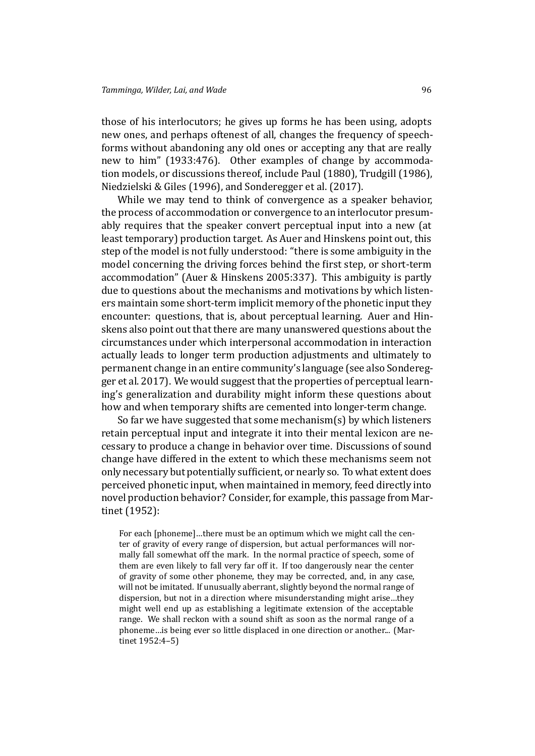those of his interlocutors; he gives up forms he has been using, adopts new ones, and perhaps oftenest of all, changes the frequency of speechforms without abandoning any old ones or accepting any that are really new to him" (1933:476). Other examples of change by accommodation models, or discussions thereof, include Paul (1880), Trudgill (1986), Niedzielski & Giles (1996), and Sonderegger et al. (2017).

While we [may te](#page-27-8)nd to think of convergence as a speaker behavior, the process of accommodation or converge[nce to an inte](#page-30-6)r[locutor presum](#page-31-8)[ably requires that](#page-30-7) t[he sp](#page-30-7)eaker [convert perceptual inpu](#page-31-2)t into a new (at least temporary) production target. As Auer and Hinskens point out, this step of the model is not fully understood: "there is some ambiguity in the model concerning the driving forces behind the first step, or short-term accommodation" (Auer & Hinskens 2005:337). This ambiguity is partly due to questions about the mechanisms and motivations by which listeners maintain some short-term implicit memory of the phonetic input they encounter: questi[ons, that is, about perce](#page-26-0)ptual learning. Auer and Hinskens also point out that there are many unanswered questions about the circumstances under which interpersonal accommodation in interaction actually leads to longer term production adjustments and ultimately to permanent change in an entire community's language (see also Sonderegger et al. 2017). We would suggest that the properties of perceptual learning's generalization and durability might inform these questions about how and when temporary shifts are cemented into longer-ter[m change.](#page-31-2)

[So far we h](#page-31-2)ave suggested that some mechanism(s) by which listeners retain perceptual input and integrate it into their mental lexicon are necessary to produce a change in behavior over time. Discussions of sound change have differed in the extent to which these mechanisms seem not only necessary but potentially sufficient, or nearly so. To what extent does perceived phonetic input, when maintained in memory, feed directly into novel production behavior? Consider, for example, this passage from Martinet (1952):

For each [phoneme]…there must be an optimum which we might call the center of gravity of every range of dispersion, but actual performances will no[r](#page-29-3)[mally fall](#page-29-3) somewhat off the mark. In the normal practice of speech, some of them are even likely to fall very far off it. If too dangerously near the center of gravity of some other phoneme, they may be corrected, and, in any case, will not be imitated. If unusually aberrant, slightly beyond the normal range of dispersion, but not in a direction where misunderstanding might arise…they might well end up as establishing a legitimate extension of the acceptable range. We shall reckon with a sound shift as soon as the normal range of a phoneme…is being ever so little displaced in one direction or another... (Martinet 1952:4–5)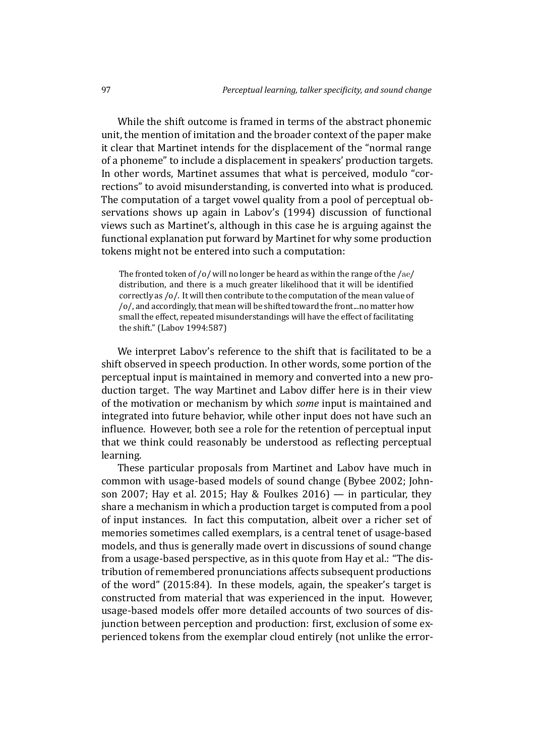While the shift outcome is framed in terms of the abstract phonemic unit, the mention of imitation and the broader context of the paper make it clear that Martinet intends for the displacement of the "normal range of a phoneme" to include a displacement in speakers' production targets. In other words, Martinet assumes that what is perceived, modulo "corrections" to avoid misunderstanding, is converted into what is produced. The computation of a target vowel quality from a pool of perceptual observations shows up again in Labov's (1994) discussion of functional views such as Martinet's, although in this case he is arguing against the functional explanation put forward by Martinet for why some production tokens might not be entered into such a [compu](#page-29-4)tation:

The fronted token of /o/ will no longer be heard as within the range of the /ae/ distribution, and there is a much greater likelihood that it will be identified correctly as /o/. It will then contribute to the computation of the mean value of /o/, and accordingly, that mean will be shifted toward the front...no matter how small the effect, repeated misunderstandings will have the effect of facilitating the shift." (Labov 1994:587)

We interpret Labov's reference to the shift that is facilitated to be a shift observed in speech production. In other words, some portion of the perceptual i[nput is mai](#page-29-4)ntained in memory and converted into a new production target. The way Martinet and Labov differ here is in their view of the motivation or mechanism by which *some* input is maintained and integrated into future behavior, while other input does not have such an influence. However, both see a role for the retention of perceptual input that we think could reasonably be understood as reflecting perceptual learning.

These particular proposals from Martinet and Labov have much in common with usage-based models of sound change (Bybee 2002; Johnson 2007; Hay et al. 2015; Hay & Foulkes 2016) — in particular, they share a mechanism in which a production target is computed from a pool of input instances. In fact this computation, albeit o[ver a richer](#page-27-9) [set of](#page-28-4) [memories](#page-28-4) [sometimes called](#page-28-5) [exemplars, is a centr](#page-28-6)al tenet of usage-based models, and thus is generally made overt in discussions of sound change from a usage-based perspective, as in this quote from Hay et al.: "The distribution of remembered pronunciations affects subsequent productions of the word" (2015:84). In these models, again, the speaker's target is constructed from material that was experienced in the input. However, usage-based models offer more detailed accounts of two sources of disjunction betw[een pe](#page-28-5)rception and production: first, exclusion of some experienced tokens from the exemplar cloud entirely (not unlike the error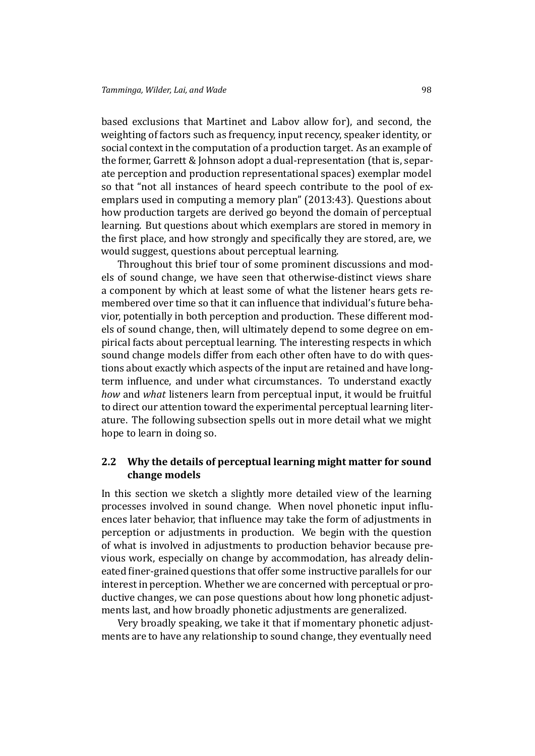based exclusions that Martinet and Labov allow for), and second, the weighting of factors such as frequency, input recency, speaker identity, or social context in the computation of a production target. As an example of the former, Garrett & Johnson adopt a dual-representation (that is, separate perception and production representational spaces) exemplar model so that "not all instances of heard speech contribute to the pool of exemplars us[ed in computing a](#page-28-7) memory plan" (2013:43). Questions about how production targets are derived go beyond the domain of perceptual learning. But questions about which exemplars are stored in memory in the first place, and how strongly and specific[ally th](#page-28-7)ey are stored, are, we would suggest, questions about perceptual learning.

Throughout this brief tour of some prominent discussions and models of sound change, we have seen that otherwise-distinct views share a component by which at least some of what the listener hears gets remembered over time so that it can influence that individual's future behavior, potentially in both perception and production. These different models of sound change, then, will ultimately depend to some degree on empirical facts about perceptual learning. The interesting respects in which sound change models differ from each other often have to do with questions about exactly which aspects of the input are retained and have longterm influence, and under what circumstances. To understand exactly *how* and *what* listeners learn from perceptual input, it would be fruitful to direct our attention toward the experimental perceptual learning literature. The following subsection spells out in more detail what we might hope to learn in doing so.

# **2.2 Why the details of perceptual learning might matter for sound change models**

<span id="page-8-0"></span>In this section we sketch a slightly more detailed view of the learning processes involved in sound change. When novel phonetic input influences later behavior, that influence may take the form of adjustments in perception or adjustments in production. We begin with the question of what is involved in adjustments to production behavior because previous work, especially on change by accommodation, has already delineated finer-grained questions that offer some instructive parallels for our interest in perception. Whether we are concerned with perceptual or productive changes, we can pose questions about how long phonetic adjustments last, and how broadly phonetic adjustments are generalized.

Very broadly speaking, we take it that if momentary phonetic adjustments are to have any relationship to sound change, they eventually need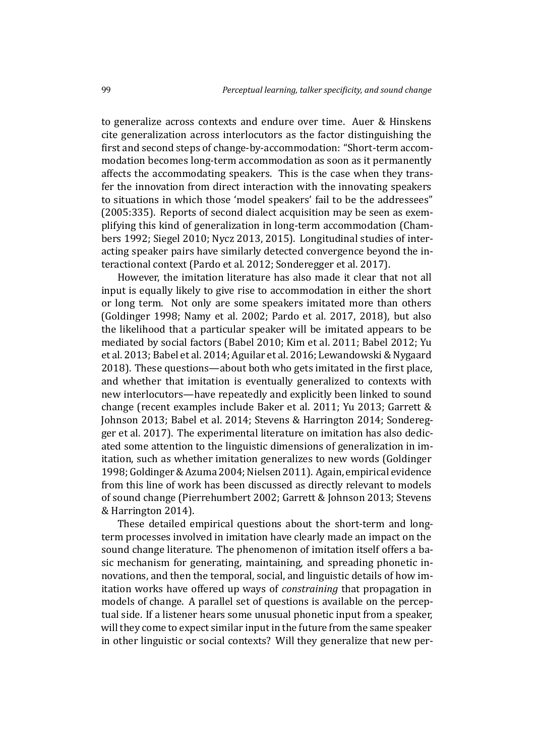to generalize across contexts and endure over time. Auer & Hinskens cite generalization across interlocutors as the factor distinguishing the first and second steps of change-by-accommodation: "Short-term accommodation becomes long-term accommodation as soon [as it permanently](#page-26-0) affects the accommodating speakers. This is the case when they transfer the innovation from direct interaction with the innovating speakers to situations in which those 'model speakers' fail to be the addressees" (2005:335). Reports of second dialect acquisition may be seen as exemplifying this kind of generalization in long-term accommodation (Chambers 1992; Siegel 2010; Nycz 2013, 2015). Longitudinal studies of inter[acting](#page-26-0) speaker pairs have similarly detected convergence beyond the interactional context (Pardo et al. 2012; Sonderegger et al. 2017).

[Howev](#page-27-10)[er, the imitat](#page-31-9)[ion literatu](#page-30-8)r[e has](#page-30-9) also made it clear that [not all](#page-27-10) [inpu](#page-27-10)t is equally likely to give rise to accommodation in either the short or long term. Not [only are some sp](#page-30-3)[eakers imitated more th](#page-31-2)an others (Goldinger 1998; Namy et al. 2002; Pardo et al. 2017, 2018), but also the likelihood that a particular speaker will be imitated appears to be mediated by social factors (Babel 2010; Kim et al. 2011; Babel 2012; Yu et al. 2013; [Babel](#page-28-8) et al. 2014; A[guilar](#page-29-5) et al. 2016; Le[wand](#page-30-10)[owski](#page-30-11) & Nygaard [2018\). The](#page-28-8)se que[stions—abou](#page-29-5)t both [who gets im](#page-30-10)itated in the first place, and whether that imitatio[n is eventua](#page-27-11)l[ly generalized t](#page-29-6)[o contexts w](#page-27-12)[ith](#page-31-10) [new interl](#page-31-10)[ocutors—have re](#page-27-0)[peatedly and explic](#page-26-1)[itly been linked to sound](#page-29-7) [chang](#page-29-7)e (recent examples include Baker et al. 2011; Yu 2013; Garrett & Johnson 2013; Babel et al. 2014; Stevens & Harrington 2014; Sonderegger et al. 2017). The experimental literature on imitation has also dedicated some attention to the linguis[tic dimensions of](#page-27-7)g[eneraliza](#page-31-11)[tion in im](#page-28-7)[itation, such a](#page-28-7)[s whether imitatio](#page-27-0)[n generalizes to new words](#page-31-12)([Goldinger](#page-31-2) [1998;Goldinge](#page-31-2)r & Azuma 2004;Nielsen 2011). Again, empirical evidence from this line of work has been discussed as directly relevant to models of sound change (Pierrehumbert 2002; Garrett & Johnson 2013; [Stevens](#page-28-8) [& Har](#page-28-8)rington 2014).

T[hese detailed empirical q](#page-28-9)[uestions abou](#page-30-2)t the short-term and longterm processes i[nvolved in imitation ha](#page-30-12)[ve clearly made an impa](#page-28-7)[ct on the](#page-31-12) [sound change litera](#page-31-12)ture. The phenomenon of imitation itself offers a basic mechanism for generating, maintaining, and spreading phonetic innovations, and then the temporal, social, and linguistic details of how imitation works have offered up ways of *constraining* that propagation in models of change. A parallel set of questions is available on the perceptual side. If a listener hears some unusual phonetic input from a speaker, will they come to expect similar input in the future from the same speaker in other linguistic or social contexts? Will they generalize that new per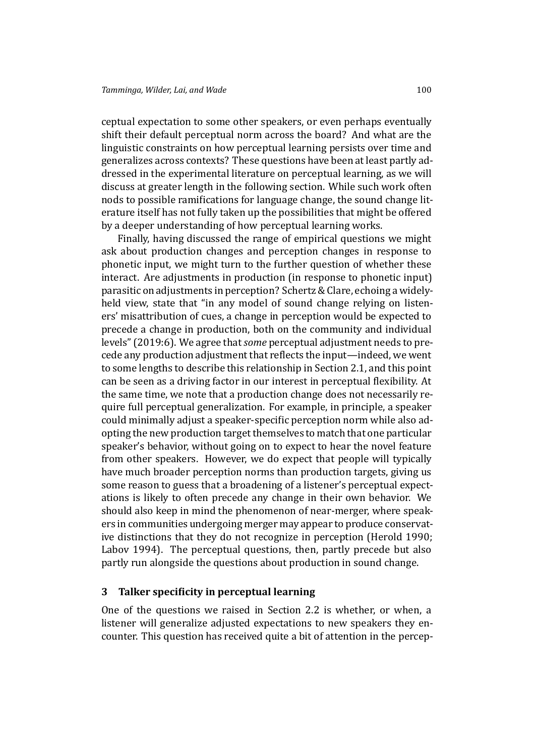ceptual expectation to some other speakers, or even perhaps eventually shift their default perceptual norm across the board? And what are the linguistic constraints on how perceptual learning persists over time and generalizes across contexts? These questions have been at least partly addressed in the experimental literature on perceptual learning, as we will discuss at greater length in the following section. While such work often nods to possible ramifications for language change, the sound change literature itself has not fully taken up the possibilities that might be offered by a deeper understanding of how perceptual learning works.

Finally, having discussed the range of empirical questions we might ask about production changes and perception changes in response to phonetic input, we might turn to the further question of whether these interact. Are adjustments in production (in response to phonetic input) parasitic on adjustments in perception? Schertz & Clare, echoing a widelyheld view, state that "in any model of sound change relying on listeners' misattribution of cues, a change in perception would be expected to precede a change in production, both on the community and individual levels" (2019:6). We agree that*some* perceptual adjustment needs to precede any production adjustment that reflects the input—indeed, we went to some lengths to describe this relationship in Section 2.1, and this point can be [seen a](#page-31-7)s a driving factor in our interest in perceptual flexibility. At the same time, we note that a production change does not necessarily require full perceptual generalization. For example, in p[rinc](#page-4-1)iple, a speaker could minimally adjust a speaker-specific perception norm while also adopting the new production target themselves to match that one particular speaker's behavior, without going on to expect to hear the novel feature from other speakers. However, we do expect that people will typically have much broader perception norms than production targets, giving us some reason to guess that a broadening of a listener's perceptual expectations is likely to often precede any change in their own behavior. We should also keep in mind the phenomenon of near-merger, where speakers in communities undergoing merger may appear to produce conservative distinctions that they do not recognize in perception (Herold 1990; Labov 1994). The perceptual questions, then, partly precede but also partly run alongside the questions about production in sound change.

# **3** Talker specificity in perceptual learning

<span id="page-10-0"></span>One of the questions we raised in Section 2.2 is whether, or when, a listener will generalize adjusted expectations to new speakers they encounter. This question has received quite a bit of attention in the percep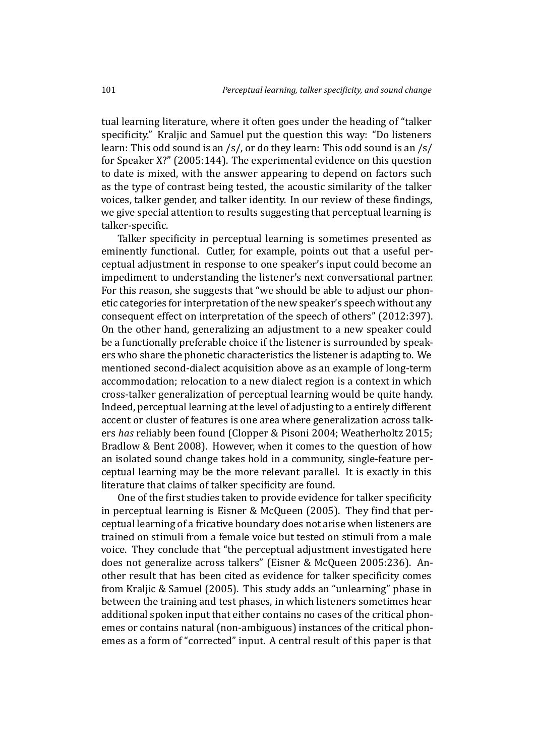tual learning literature, where it often goes under the heading of "talker specificity." Kraljic and Samuel put the question this way: "Do listeners" learn: This odd sound is an /s/, or do they learn: This odd sound is an /s/ for Speaker X?" (2005:144). The experimental evidence on this question to date is mixed, with the answer appearing to depend on factors such as the type of contrast being tested, the acoustic similarity of the talker voices, talker ge[nder, a](#page-29-0)nd talker identity. In our review of these findings, we give special attention to results suggesting that perceptual learning is talker-specific.

Talker specificity in perceptual learning is sometimes presented as eminently functional. Cutler, for example, points out that a useful perceptual adjustment in response to one speaker's input could become an impediment to understanding the listener's next conversational partner. For this reason, she suggests that "we should be able to adjust our phonetic categories for interpretation of the new speaker's speech without any consequent effect on interpretation of the speech of others" (2012:397). On the other hand, generalizing an adjustment to a new speaker could be a functionally preferable choice if the listener is surrounded by speakers who share the phonetic characteristics the listener is adap[ting t](#page-28-10)o. We mentioned second-dialect acquisition above as an example of long-term accommodation; relocation to a new dialect region is a context in which cross-talker generalization of perceptual learning would be quite handy. Indeed, perceptual learning at the level of adjusting to a entirely different accent or cluster of features is one area where generalization across talkers *has* reliably been found (Clopper & Pisoni 2004; Weatherholtz 2015; Bradlow & Bent 2008). However, when it comes to the question of how an isolated sound change takes hold in a community, single-feature perceptual learning may be the [more relevant parallel](#page-27-2). [It is exactly in this](#page-31-13) [literature that claims o](#page-27-3)f talker specificity are found.

One of the first studies taken to provide evidence for talker specificity in perceptual learning is Eisner & McQueen (2005). They find that perceptual learning of a fricative boundary does not arise when listeners are trained on stimuli from a female voice but tested on stimuli from a male voice. They conclude tha[t "the perceptual adjustm](#page-28-0)ent investigated here does not generalize across talkers" (Eisner & McQueen 2005:236). Another result that has been cited as evidence for talker specificity comes from Kraljic & Samuel (2005). This study adds an "unlearning" phase in between the training and test phases[, in which listeners somet](#page-28-0)imes hear additional spoken input that either contains no cases of the critical phonemes [or contains natural \(non](#page-29-0)-ambiguous) instances of the critical phonemes as a form of "corrected" input. A central result of this paper is that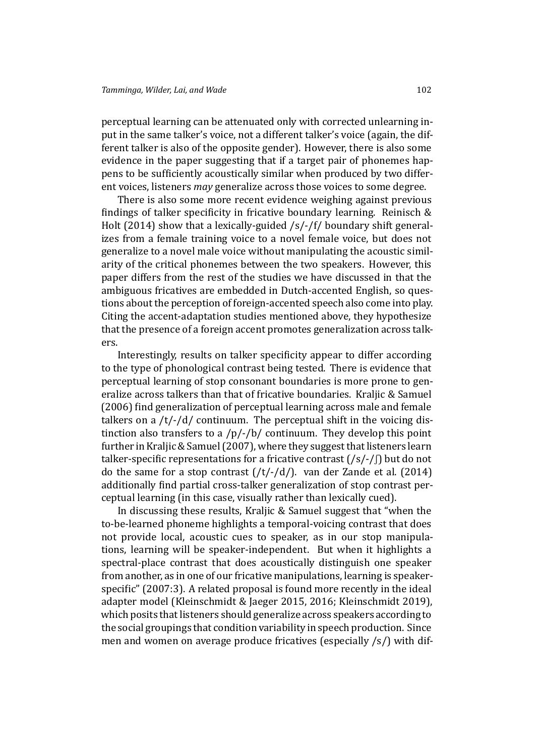perceptual learning can be attenuated only with corrected unlearning input in the same talker's voice, not a different talker's voice (again, the different talker is also of the opposite gender). However, there is also some evidence in the paper suggesting that if a target pair of phonemes happens to be sufficiently acoustically similar when produced by two different voices, listeners *may* generalize across those voices to some degree.

There is also some more recent evidence weighing against previous findings of talker specificity in fricative boundary learning. Reinisch  $&$ Holt (2014) show that a lexically-guided /s/-/f/ boundary shift generalizes from a female training voice to a novel female voice, but does not generalize to a novel male voice without manipulating the ac[oustic simil](#page-30-13)[arity of the](#page-30-13) critical phonemes between the two speakers. However, this paper differs from the rest of the studies we have discussed in that the ambiguous fricatives are embedded in Dutch-accented English, so questions about the perception of foreign-accented speech also come into play. Citing the accent-adaptation studies mentioned above, they hypothesize that the presence of a foreign accent promotes generalization across talkers.

Interestingly, results on talker specificity appear to differ according to the type of phonological contrast being tested. There is evidence that perceptual learning of stop consonant boundaries is more prone to generalize across talkers than that of fricative boundaries. Kraljic & Samuel (2006) find generalization of perceptual learning across male and female talkers on a  $/t$ -/d/ continuum. The perceptual shift in the voicing distinction also transfers to a  $/p/-/b/$  continuum. They d[evelop this point](#page-29-8) f[urthe](#page-29-8)r in Kraljic & Samuel (2007), where they suggest that listeners learn talker-specific representations for a fricative contrast  $(\frac{s}{-})$  but do not do the same for a stop contrast  $(\frac{t}{-d})$ . van der Zande et al. (2014) additionally find partial cross-talker generalization of stop contrast perceptual learning (in this case, visually rather than lexically cued).

In discussing these results, Kraljic & Samuel [suggest that "when the](#page-31-6) to-be-learned phoneme highlights a temporal-voicing contrast that does not provide local, acoustic cues to speaker, as in our stop manipulations, learning will be speaker[-independent. B](#page-29-9)ut when it highlights a spectral-place contrast that does acoustically distinguish one speaker from another, as in one of our fricative manipulations, learning is speakerspecific" (2007:3). A related proposal is found more recently in the ideal adapter model (Kleinschmidt & Jaeger 2015, 2016; Kleinschmidt 2019), which posits that listeners should generalize across speakers according to the social [group](#page-29-9)ings that condition variability in speech production. Since men and wome[n on average produce fricativ](#page-29-10)[es \(es](#page-29-11)[pecially /s/\) with dif](#page-29-12)-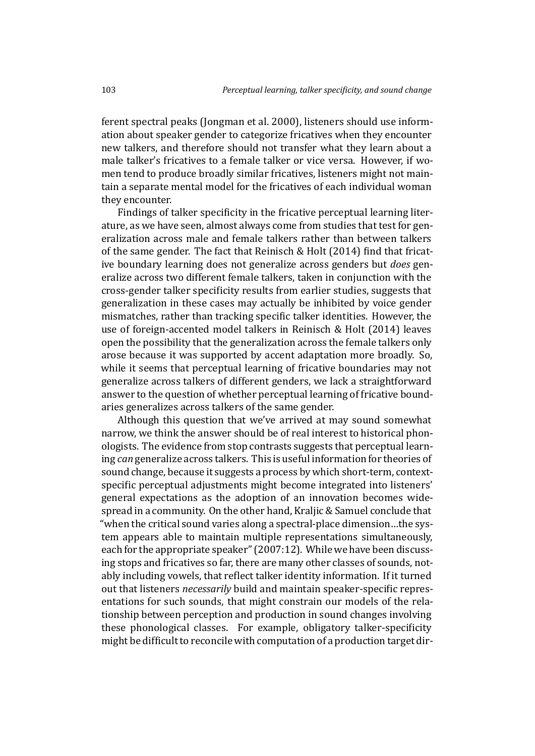ferent spectral peaks (Jongman et al. 2000), listeners should use information about speaker gender to categorize fricatives when they encounter new talkers, and therefore should not transfer what they learn about a male talker's fricative[s to a female talker o](#page-28-11)r vice versa. However, if women tend to produce broadly similar fricatives, listeners might not maintain a separate mental model for the fricatives of each individual woman they encounter.

Findings of talker specificity in the fricative perceptual learning literature, as we have seen, almost always come from studies that test for generalization across male and female talkers rather than between talkers of the same gender. The fact that Reinisch & Holt (2014) find that fricative boundary learning does not generalize across genders but *does* generalize across two different female talkers, taken in conjunction with the cross-gender talker specificity re[sults from earlie](#page-30-13)r [studi](#page-30-13)es, suggests that generalization in these cases may actually be inhibited by voice gender mismatches, rather than tracking specific talker identities. However, the use of foreign-accented model talkers in Reinisch & Holt (2014) leaves open the possibility that the generalization across the female talkers only arose because it was supported by accent adaptation more broadly. So, while it seems that perceptual learning o[f fricative boundaries m](#page-30-13)ay not generalize across talkers of different genders, we lack a straightforward answer to the question of whether perceptual learning of fricative boundaries generalizes across talkers of the same gender.

Although this question that we've arrived at may sound somewhat narrow, we think the answer should be of real interest to historical phonologists. The evidence from stop contrasts suggests that perceptual learning *can* generalize across talkers. This is useful information for theories of sound change, because it suggests a process by which short-term, contextspecific perceptual adjustments might become integrated into listeners' general expectations as the adoption of an innovation becomes widespread in a community. On the other hand, Kraljic & Samuel conclude that "when the critical sound varies along a spectral-place dimension…the system appears able to maintain multiple representations simultaneously, each for the appropriate speaker" (2007:1[2\). While we have](#page-29-9) been discussing stops and fricatives so far, there are many other classes of sounds, notably including vowels, that reflect talker identity information. If it turned out that listeners *necessarily* build [and m](#page-29-9)aintain speaker-specific representations for such sounds, that might constrain our models of the relationship between perception and production in sound changes involving these phonological classes. For example, obligatory talker-specificity might be difficult to reconcile with computation of a production target dir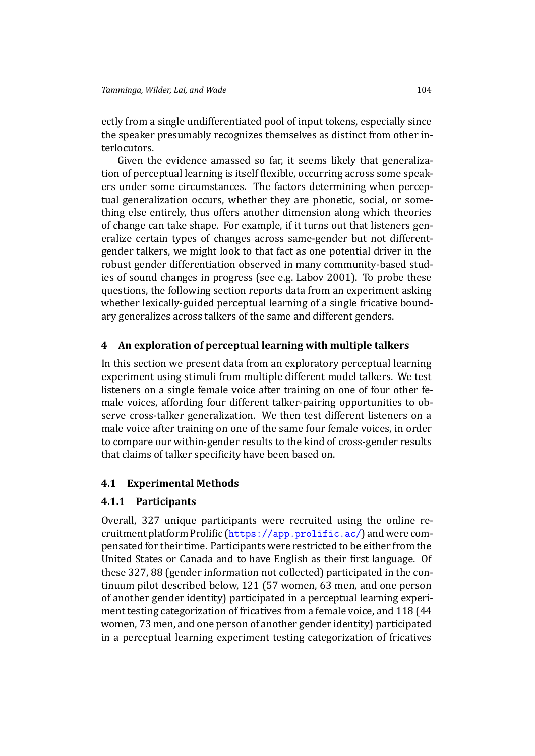ectly from a single undifferentiated pool of input tokens, especially since the speaker presumably recognizes themselves as distinct from other interlocutors.

Given the evidence amassed so far, it seems likely that generalization of perceptual learning is itself flexible, occurring across some speakers under some circumstances. The factors determining when perceptual generalization occurs, whether they are phonetic, social, or something else entirely, thus offers another dimension along which theories of change can take shape. For example, if it turns out that listeners generalize certain types of changes across same-gender but not differentgender talkers, we might look to that fact as one potential driver in the robust gender differentiation observed in many community-based studies of sound changes in progress (see e.g. Labov 2001). To probe these questions, the following section reports data from an experiment asking whether lexically-guided perceptual learning of a single fricative boundary generalizes across talkers of the same [and different](#page-29-13) genders.

# **4 An exploration of perceptual learning with multiple talkers**

<span id="page-14-0"></span>In this section we present data from an exploratory perceptual learning experiment using stimuli from multiple different model talkers. We test listeners on a single female voice after training on one of four other female voices, affording four different talker-pairing opportunities to observe cross-talker generalization. We then test different listeners on a male voice after training on one of the same four female voices, in order to compare our within-gender results to the kind of cross-gender results that claims of talker specificity have been based on.

# **4.1 Experimental Methods**

# **4.1.1 Participants**

Overall, 327 unique participants were recruited using the online recruitment platform Prolific (https://app.prolific.ac/) and were compensated for their time. Participants were restricted to be either from the United States or Canada and to have English as their first language. Of these 327, 88 (gender infor[mation not collected\) particip](https://app.prolific.ac/)ated in the continuum pilot described below, 121 (57 women, 63 men, and one person of another gender identity) participated in a perceptual learning experiment testing categorization of fricatives from a female voice, and 118 (44 women, 73 men, and one person of another gender identity) participated in a perceptual learning experiment testing categorization of fricatives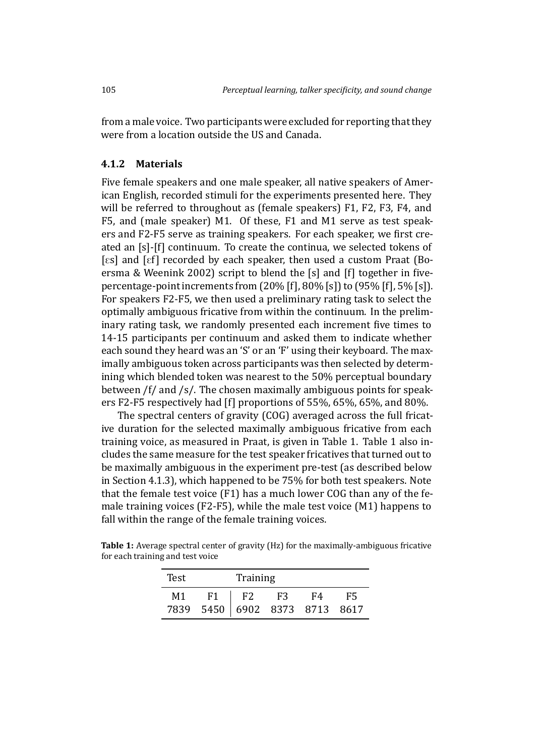from a male voice. Two participants were excluded for reporting that they were from a location outside the US and Canada.

### **4.1.2 Materials**

<span id="page-15-1"></span>Five female speakers and one male speaker, all native speakers of American English, recorded stimuli for the experiments presented here. They will be referred to throughout as (female speakers) F1, F2, F3, F4, and F5, and (male speaker) M1. Of these, F1 and M1 serve as test speakers and F2-F5 serve as training speakers. For each speaker, we first created an [s]-[f] continuum. To create the continua, we selected tokens of  $\lceil \text{es} \rceil$  and  $\lceil \text{ef} \rceil$  recorded by each speaker, then used a custom Praat (Boersma & Weenink 2002) script to blend the  $[s]$  and  $[f]$  together in fivepercentage-point increments from (20% [f], 80% [s]) to (95% [f], 5% [s]). For speakers F2-F5, we then used a preliminary rating task to select [the](#page-27-13) [optimally ambiguous fric](#page-27-13)ative from within the continuum. In the preliminary rating task, we randomly presented each increment five times to 14-15 participants per continuum and asked them to indicate whether each sound they heard was an 'S' or an 'F' using their keyboard. The maximally ambiguous token across participants was then selected by determining which blended token was nearest to the 50% perceptual boundary between /f/ and /s/. The chosen maximally ambiguous points for speakers F2-F5 respectively had [f] proportions of 55%, 65%, 65%, and 80%.

The spectral centers of gravity (COG) averaged across the full fricative duration for the selected maximally ambiguous fricative from each training voice, as measured in Praat, is given in Table 1. Table 1 also includes the same measure for the test speaker fricatives that turned out to be maximally ambiguous in the experiment pre-test (as described below in Section 4.1.3), which happened to be 75% for botht[es](#page-15-0)t speak[er](#page-15-0)s. Note that the female test voice (F1) has a much lower COG than any of the female training voices (F2-F5), while the male test voice (M1) happens to fall within [the r](#page-16-0)ange of the female training voices.

<span id="page-15-0"></span>

| Test | Training                      |            |           |      |    |  |
|------|-------------------------------|------------|-----------|------|----|--|
| M1   | F1 =                          | $\vert$ F2 | <b>F3</b> | - F4 | F5 |  |
|      | 7839 5450 6902 8373 8713 8617 |            |           |      |    |  |

**Table 1:** Average spectral center of gravity (Hz) for the maximally-ambiguous fricative for each training and test voice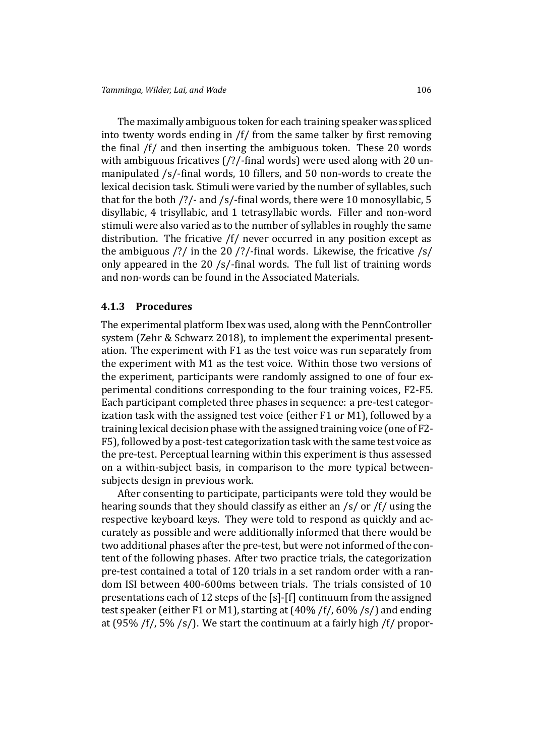The maximally ambiguous token for each training speaker was spliced into twenty words ending in  $/f$  from the same talker by first removing the final  $/f/$  and then inserting the ambiguous token. These 20 words with ambiguous fricatives  $\frac{7}{2}$ -final words) were used along with 20 unmanipulated /s/-final words, 10 fillers, and 50 non-words to create the lexical decision task. Stimuli were varied by the number of syllables, such that for the both  $\frac{?}{}$  and  $\frac{s}{$ -final words, there were 10 monosyllabic, 5 disyllabic, 4 trisyllabic, and 1 tetrasyllabic words. Filler and non-word stimuli were also varied as to the number of syllables in roughly the same distribution. The fricative /f/ never occurred in any position except as the ambiguous  $\frac{2}{1}$  in the 20  $\frac{2}{1}$ -final words. Likewise, the fricative  $\frac{2}{1}$ only appeared in the 20 /s/-final words. The full list of training words and non-words can be found in the Associated Materials.

### **4.1.3 Procedures**

<span id="page-16-0"></span>The experimental platform Ibex was used, along with the PennController system (Zehr & Schwarz 2018), to implement the experimental presentation. The experiment with F1 as the test voice was run separately from the experiment with M1 as the test voice. Within those two versions of the exp[eriment, participants w](#page-32-1)ere randomly assigned to one of four experimental conditions corresponding to the four training voices, F2-F5. Each participant completed three phases in sequence: a pre-test categorization task with the assigned test voice (either F1 or M1), followed by a training lexical decision phase with the assigned training voice (one of F2- F5), followed by a post-test categorization task with the same test voice as the pre-test. Perceptual learning within this experiment is thus assessed on a within-subject basis, in comparison to the more typical betweensubjects design in previous work.

After consenting to participate, participants were told they would be hearing sounds that they should classify as either an /s/ or /f/ using the respective keyboard keys. They were told to respond as quickly and accurately as possible and were additionally informed that there would be two additional phases after the pre-test, but were not informed of the content of the following phases. After two practice trials, the categorization pre-test contained a total of 120 trials in a set random order with a random ISI between 400-600ms between trials. The trials consisted of 10 presentations each of 12 steps of the [s]-[f] continuum from the assigned test speaker (either F1 or M1), starting at (40% /f/, 60% /s/) and ending at (95% /f/, 5% /s/). We start the continuum at a fairly high /f/ propor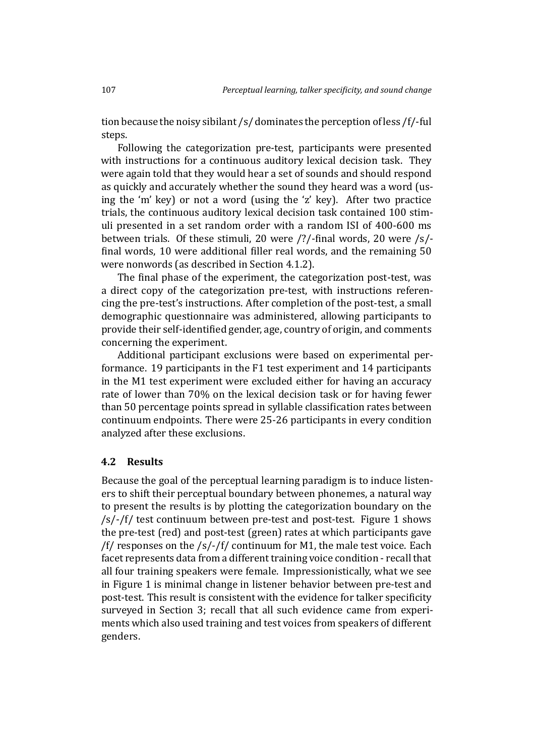tion because the noisy sibilant /s/ dominates the perception of less /f/-ful steps.

Following the categorization pre-test, participants were presented with instructions for a continuous auditory lexical decision task. They were again told that they would hear a set of sounds and should respond as quickly and accurately whether the sound they heard was a word (using the 'm' key) or not a word (using the 'z' key). After two practice trials, the continuous auditory lexical decision task contained 100 stimuli presented in a set random order with a random ISI of 400-600 ms between trials. Of these stimuli, 20 were /?/-final words, 20 were /s/final words, 10 were additional filler real words, and the remaining 50 were nonwords (as described in Section 4.1.2).

The final phase of the experiment, the categorization post-test, was a direct copy of the categorization pre-test, with instructions referencing the pre-test's instructions. After co[mplet](#page-15-1)ion of the post-test, a small demographic questionnaire was administered, allowing participants to provide their self-identified gender, age, country of origin, and comments concerning the experiment.

Additional participant exclusions were based on experimental performance. 19 participants in the F1 test experiment and 14 participants in the M1 test experiment were excluded either for having an accuracy rate of lower than 70% on the lexical decision task or for having fewer than 50 percentage points spread in syllable classification rates between continuum endpoints. There were 25-26 participants in every condition analyzed after these exclusions.

### **4.2 Results**

Because the goal of the perceptual learning paradigm is to induce listeners to shift their perceptual boundary between phonemes, a natural way to present the results is by plotting the categorization boundary on the /s/-/f/ test continuum between pre-test and post-test. Figure 1 shows the pre-test (red) and post-test (green) rates at which participants gave  $/f$  responses on the /s/-/f/ continuum for M1, the male test voice. Each facet represents data from a different training voice condition - r[ec](#page-18-0)all that all four training speakers were female. Impressionistically, what we see in Figure 1 is minimal change in listener behavior between pre-test and post-test. This result is consistent with the evidence for talker specificity surveyed in Section 3; recall that all such evidence came from experiments w[hic](#page-18-0)h also used training and test voices from speakers of different genders.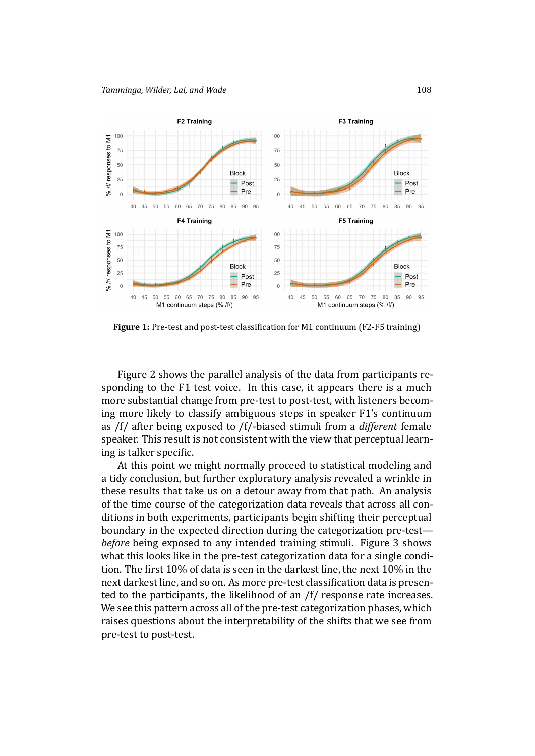

Figure 1: Pre-test and post-test classification for M1 continuum (F2-F5 training)

<span id="page-18-0"></span>Figure 2 shows the parallel analysis of the data from participants responding to the F1 test voice. In this case, it appears there is a much more substantial change from pre-test to post-test, with listeners becoming morel[ik](#page-19-0)ely to classify ambiguous steps in speaker F1's continuum as /f/ after being exposed to /f/-biased stimuli from a *different* female speaker. This result is not consistent with the view that perceptual learning is talker specific.

At this point we might normally proceed to statistical modeling and a tidy conclusion, but further exploratory analysis revealed a wrinkle in these results that take us on a detour away from that path. An analysis of the time course of the categorization data reveals that across all conditions in both experiments, participants begin shifting their perceptual boundary in the expected direction during the categorization pre-test *before* being exposed to any intended training stimuli. Figure 3 shows what this looks like in the pre-test categorization data for a single condition. The first 10% of data is seen in the darkest line, the next 10% in the nextdarkest line, and so on. As more pre-test classification data i[s p](#page-19-1)resented to the participants, the likelihood of an /f/ response rate increases. We see this pattern across all of the pre-test categorization phases, which raises questions about the interpretability of the shifts that we see from pre-test to post-test.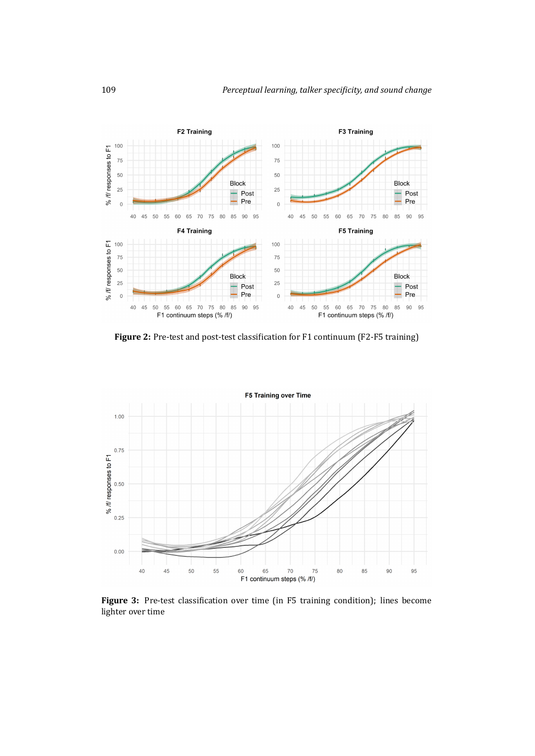

<span id="page-19-0"></span>Figure 2: Pre-test and post-test classification for F1 continuum (F2-F5 training)



<span id="page-19-1"></span>Figure 3: Pre-test classification over time (in F5 training condition); lines become lighter over time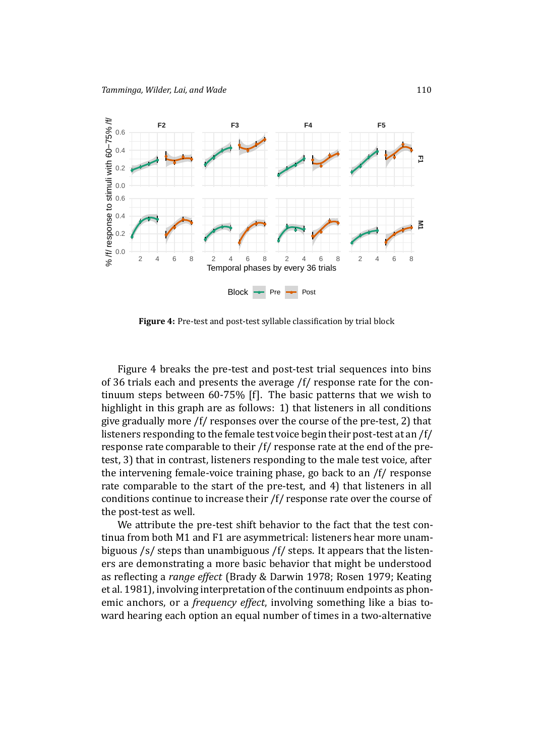

<span id="page-20-0"></span>Figure 4: Pre-test and post-test syllable classification by trial block

Figure 4 breaks the pre-test and post-test trial sequences into bins of 36 trials each and presents the average /f/ response rate for the continuum steps between 60-75% [f]. The basic patterns that we wish to highlighti[n](#page-20-0) this graph are as follows: 1) that listeners in all conditions give gradually more /f/ responses over the course of the pre-test, 2) that listeners responding to the female test voice begin their post-test at an /f/ response rate comparable to their /f/ response rate at the end of the pretest, 3) that in contrast, listeners responding to the male test voice, after the intervening female-voice training phase, go back to an /f/ response rate comparable to the start of the pre-test, and 4) that listeners in all conditions continue to increase their /f/ response rate over the course of the post-test as well.

We attribute the pre-test shift behavior to the fact that the test continua from both M1 and F1 are asymmetrical: listeners hear more unambiguous /s/ steps than unambiguous /f/ steps. It appears that the listeners are demonstrating a more basic behavior that might be understood as reflecting a *range effect* (Brady & Darwin 1978; Rosen 1979; Keating et al. 1981), involving interpretation of the continuum endpoints as phonemic anchors, or a *frequency effect*, involving something like a bias toward hearing each option a[n equal number of time](#page-27-14)[s in a two-alt](#page-31-14)[ernative](#page-28-12)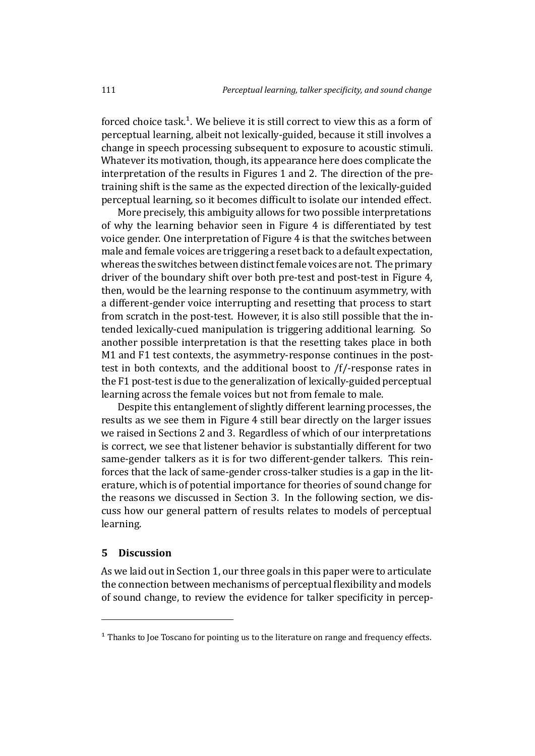forced choice task.<sup>1</sup>. We believe it is still correct to view this as a form of perceptual learning, albeit not lexically-guided, because it still involves a change in speech processing subsequent to exposure to acoustic stimuli. Whatever its moti[va](#page-21-0)tion, though, its appearance here does complicate the interpretation of the results in Figures 1 and 2. The direction of the pretraining shift is the same as the expected direction of the lexically-guided perceptual learning, so it becomes difficult to isolate our intended effect.

More precisely, this ambiguity allo[ws](#page-18-0) for t[wo](#page-19-0) possible interpretations of why the learning behavior seen in Figure 4 is differentiated by test voice gender. One interpretation of Figure 4 is that the switches between male and female voices are triggering a reset back to a default expectation, whereas the switches between distinct female [vo](#page-20-0)ices are not. The primary driver of the boundary shift over both pre[-t](#page-20-0)est and post-test in Figure 4, then, would be the learning response to the continuum asymmetry, with a different-gender voice interrupting and resetting that process to start from scratch in the post-test. However, it is also still possible that thei[n](#page-20-0)tended lexically-cued manipulation is triggering additional learning. So another possible interpretation is that the resetting takes place in both M1 and F1 test contexts, the asymmetry-response continues in the posttest in both contexts, and the additional boost to /f/-response rates in the F1 post-test is due to the generalization of lexically-guided perceptual learning across the female voices but not from female to male.

Despite this entanglement of slightly different learning processes, the results as we see them in Figure 4 still bear directly on the larger issues we raised in Sections 2 and 3. Regardless of which of our interpretations is correct, we see that listener behavior is substantially different for two same-gender talkers as it is for [tw](#page-20-0)o different-gender talkers. This reinforces that the lack of [s](#page-4-0)ame[-g](#page-10-0)ender cross-talker studies is a gap in the literature, which is of potential importance for theories of sound change for the reasons we discussed in Section 3. In the following section, we discuss how our general pattern of results relates to models of perceptual learning.

### **5 Discussion**

As we laid out in Section 1, our three goals in this paper were to articulate the connection between mechanisms of perceptual flexibility and models of sound change, to review the evidence for talker specificity in percep-

<span id="page-21-0"></span> $1$  Thanks to Joe Toscano for pointing us to the literature on range and frequency effects.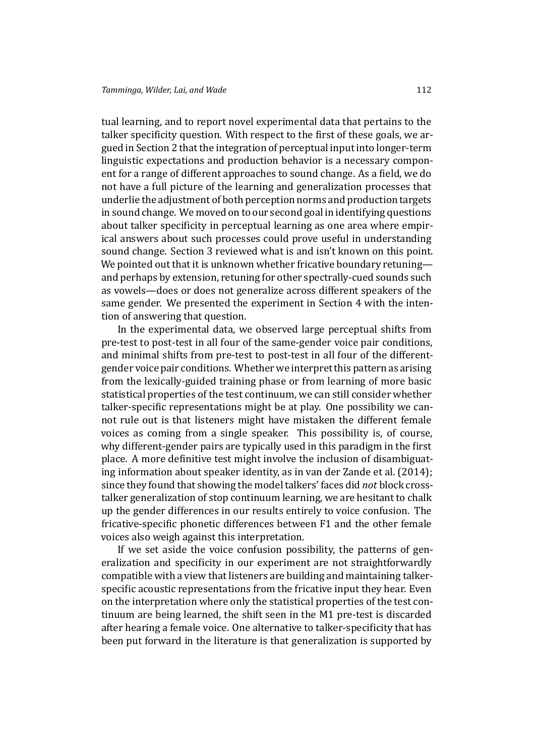tual learning, and to report novel experimental data that pertains to the talker specificity question. With respect to the first of these goals, we argued in Section 2 that the integration of perceptual input into longer-term linguistic expectations and production behavior is a necessary component for a range of different approaches to sound change. As a field, we do not have a full [pi](#page-4-0)cture of the learning and generalization processes that underlie the adjustment of both perception norms and production targets in sound change. We moved on to our second goal in identifying questions about talker specificity in perceptual learning as one area where empirical answers about such processes could prove useful in understanding sound change. Section 3 reviewed what is and isn't known on this point. We pointed out that it is unknown whether fricative boundary retuningand perhaps by extension, retuning for other spectrally-cued sounds such as vowels—does or do[es](#page-10-0) not generalize across different speakers of the same gender. We presented the experiment in Section 4 with the intention of answering that question.

In the experimental data, we observed large perceptual shifts from pre-test to post-test in all four of the same-gender voic[e p](#page-14-0)air conditions, and minimal shifts from pre-test to post-test in all four of the differentgender voice pair conditions. Whether we interpret this pattern as arising from the lexically-guided training phase or from learning of more basic statistical properties of the test continuum, we can still consider whether talker-specific representations might be at play. One possibility we cannot rule out is that listeners might have mistaken the different female voices as coming from a single speaker. This possibility is, of course, why different-gender pairs are typically used in this paradigm in the first place. A more definitive test might involve the inclusion of disambiguating information about speaker identity, as in van der Zande et al. (2014); since they found that showing the model talkers' faces did *not* block crosstalker generalization of stop continuum learning, we are hesitant to chalk up the gender differences in our results enti[rely to voice confusion. Th](#page-31-6)e fricative-specific phonetic differences between F1 and the other female voices also weigh against this interpretation.

If we set aside the voice confusion possibility, the patterns of generalization and specificity in our experiment are not straightforwardly compatible with a view that listeners are building and maintaining talkerspecific acoustic representations from the fricative input they hear. Even on the interpretation where only the statistical properties of the test continuum are being learned, the shift seen in the M1 pre-test is discarded after hearing a female voice. One alternative to talker-specificity that has been put forward in the literature is that generalization is supported by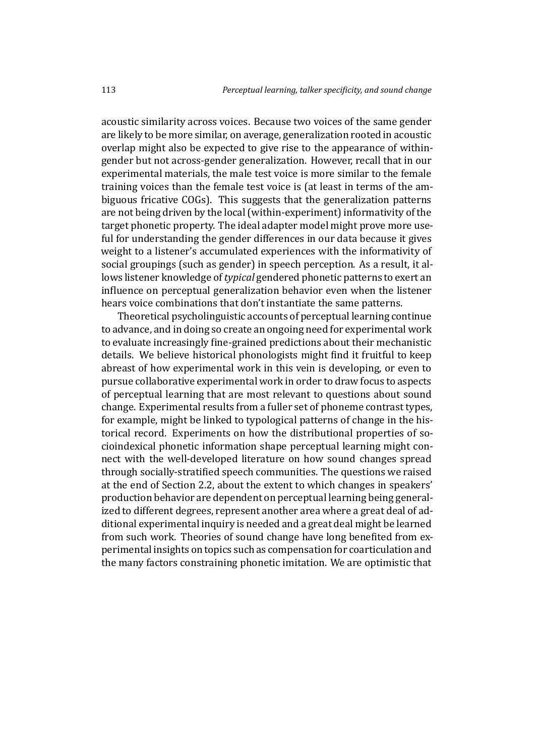acoustic similarity across voices. Because two voices of the same gender are likely to be more similar, on average, generalization rooted in acoustic overlap might also be expected to give rise to the appearance of withingender but not across-gender generalization. However, recall that in our experimental materials, the male test voice is more similar to the female training voices than the female test voice is (at least in terms of the ambiguous fricative COGs). This suggests that the generalization patterns are not being driven by the local (within-experiment) informativity of the target phonetic property. The ideal adapter model might prove more useful for understanding the gender differences in our data because it gives weight to a listener's accumulated experiences with the informativity of social groupings (such as gender) in speech perception. As a result, it allows listener knowledge of*typical* gendered phonetic patterns to exert an influence on perceptual generalization behavior even when the listener hears voice combinations that don't instantiate the same patterns.

Theoretical psycholinguistic accounts of perceptual learning continue to advance, and in doing so create an ongoing need for experimental work to evaluate increasingly fine-grained predictions about their mechanistic details. We believe historical phonologists might find it fruitful to keep abreast of how experimental work in this vein is developing, or even to pursue collaborative experimental work in order to draw focus to aspects of perceptual learning that are most relevant to questions about sound change. Experimental results from a fuller set of phoneme contrast types, for example, might be linked to typological patterns of change in the historical record. Experiments on how the distributional properties of socioindexical phonetic information shape perceptual learning might connect with the well-developed literature on how sound changes spread through socially-stratified speech communities. The questions we raised at the end of Section 2.2, about the extent to which changes in speakers' production behavior are dependent on perceptual learning being generalized to different degrees, represent another area where a great deal of additional experimenta[l inq](#page-8-0)uiry is needed and a great deal might be learned from such work. Theories of sound change have long benefited from experimental insights on topics such as compensation for coarticulation and the many factors constraining phonetic imitation. We are optimistic that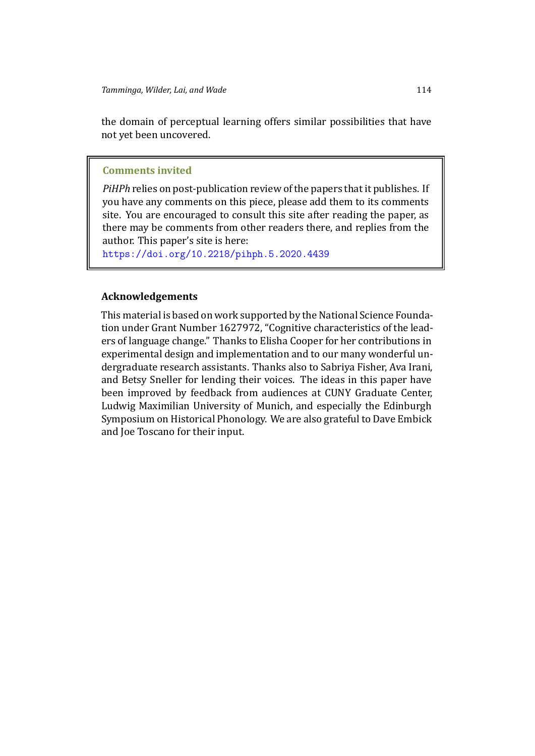the domain of perceptual learning offers similar possibilities that have not yet been uncovered.

#### **Comments invited**

*PiHPh* relies on post-publication review of the papers that it publishes. If you have any comments on this piece, please add them to its comments site. You are encouraged to consult this site after reading the paper, as there may be comments from other readers there, and replies from the author. This paper's site is here:

https://doi.org/10.2218/pihph.5.2020.4439

### **[Acknowledgements](https://doi.org/10.2218/pihph.5.2020.4439)**

This material is based on work supported by the National Science Foundation under Grant Number 1627972, "Cognitive characteristics of the leaders of language change." Thanks to Elisha Cooper for her contributions in experimental design and implementation and to our many wonderful undergraduate research assistants. Thanks also to Sabriya Fisher, Ava Irani, and Betsy Sneller for lending their voices. The ideas in this paper have been improved by feedback from audiences at CUNY Graduate Center, Ludwig Maximilian University of Munich, and especially the Edinburgh Symposium on Historical Phonology. We are also grateful to Dave Embick and Joe Toscano for their input.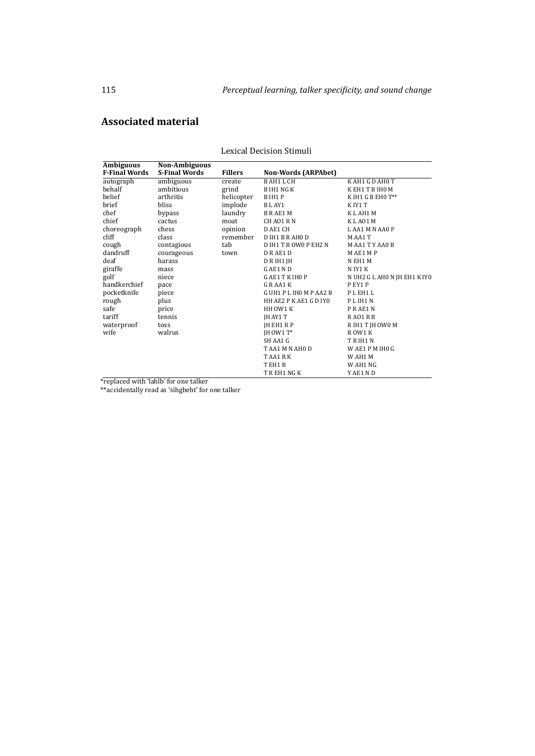### **Associated material**

| <b>Ambiguous</b>     | <b>Non-Ambiguous</b> |                |                            |                              |
|----------------------|----------------------|----------------|----------------------------|------------------------------|
| <b>F-Final Words</b> | <b>S-Final Words</b> | <b>Fillers</b> | <b>Non-Words (ARPAbet)</b> |                              |
| autograph            | ambiguous            | create         | <b>BAH1LCH</b>             | KAH1 GDAH0 T                 |
| behalf               | ambitious            | grind          | <b>BIH1 NGK</b>            | KEH1TBIH0M                   |
| belief               | arthritis            | helicopter     | B IH1 P                    | K IH1 G B EH0 $T^{**}$       |
| brief                | bliss                | implode        | BLAY1                      | KIY1 T                       |
| chef                 | bypass               | laundry        | <b>BRAE1M</b>              | K L AH1 M                    |
| chief                | cactus               | moat           | CH AO1 R N                 | KLA01M                       |
| choreograph          | chess                | opinion        | D AE1 CH                   | LAA1 M N AA0 P               |
| cliff                | class                | remember       | D IH1 B R AH0 D            | M AA1 T                      |
| cough                | contagious           | tab            | D IH1 T R OW0 P EH2 N      | MAA1TYAA0B                   |
| dandruff             | courageous           | town           | DRAE1D                     | MAE1 MP                      |
| deaf                 | harass               |                | D R IH1 JH                 | N EH1 M                      |
| giraffe              | mass                 |                | G AE1 N D                  | N IY1 K                      |
| golf                 | niece                |                | G AE1 T K IHO P            | N UH2 G L AH0 N JH EH1 K IY0 |
| handkerchief         | pace                 |                | GRAA1K                     | PEY1P                        |
| pocketknife          | piece                |                | GUH1 PLIHOMPAA2 B          | PLEH1L                       |
| rough                | plus                 |                | HH AE2 P K AE1 G D IYO     | PLIH1N                       |
| safe                 | price                |                | HH OW1 K                   | PRAE1N                       |
| tariff               | tennis               |                | JH AY1 T                   | RA01RB                       |
| waterproof           | toss                 |                | IH EH1 R P                 | R IH1 T JH OW0 M             |
| wife                 | walrus               |                | $IH$ OW1 $T^*$             | ROW1 K                       |
|                      |                      |                | SH AA1 G                   | TRIH1N                       |
|                      |                      |                | TAA1 M N AHO D             | WAE1 PM IHO G                |
|                      |                      |                | T AA1 R K                  | W AH1 M                      |
|                      |                      |                | TEH1B                      | W AH1 NG                     |
|                      |                      |                | T R EH1 NG K               | Y AE1 N D                    |

Lexical Decision Stimuli

\*replaced with 'lahlb' for one talker

\*\*accidentally read as 'sihgbeht' for one talker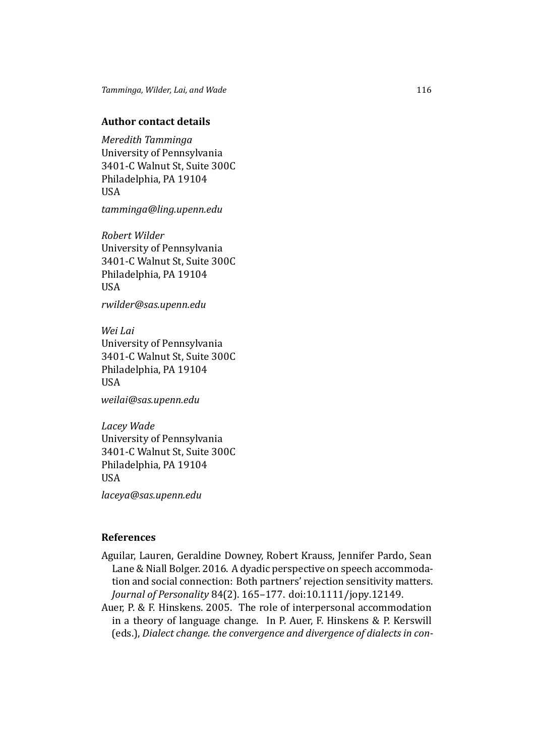### **Author contact details**

*Meredith Tamminga* University of Pennsylvania 3401-C Walnut St, Suite 300C Philadelphia, PA 19104 USA

*tamminga@ling.upenn.edu*

*Robert Wilder* University of Pennsylvania 3401-C Walnut St, Suite 300C Philadelphia, PA 19104 USA

*rwilder@sas.upenn.edu*

*Wei Lai* University of Pennsylvania 3401-C Walnut St, Suite 300C Philadelphia, PA 19104 **USA** 

*weilai@sas.upenn.edu*

*Lacey Wade* University of Pennsylvania 3401-C Walnut St, Suite 300C Philadelphia, PA 19104 USA

*laceya@sas.upenn.edu*

#### **References**

- <span id="page-26-1"></span>Aguilar, Lauren, Geraldine Downey, Robert Krauss, Jennifer Pardo, Sean Lane & Niall Bolger. 2016. A dyadic perspective on speech accommodation and social connection: Both partners' rejection sensitivity matters. *Journal of Personality* 84(2). 165–177. doi:10.1111/jopy.12149.
- <span id="page-26-0"></span>Auer, P. & F. Hinskens. 2005. The role of interpersonal accommodation in a theory of language change. In P. Auer, F. Hinskens & P. Kerswill (eds.), *Dialect change. the convergence and divergence of dialects in con-*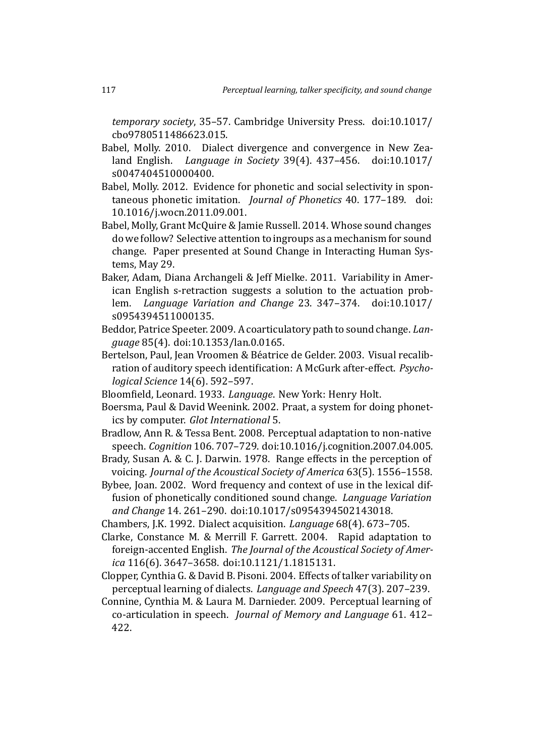*temporary society*, 35–57. Cambridge University Press. doi:10.1017/ cbo9780511486623.015.

- <span id="page-27-11"></span>Babel, Molly. 2010. Dialect divergence and convergence in New Zealand English. *Language in Society* 39(4). 437–456. doi:10.1017/ s0047404510000400.
- <span id="page-27-12"></span>Babel, Molly. 2012. Evidence for phonetic and social selectivity in spontaneous phonetic imitation. *Journal of Phonetics* 40. 177–189. doi: 10.1016/j.wocn.2011.09.001.
- <span id="page-27-0"></span>Babel, Molly, Grant McQuire & Jamie Russell. 2014. Whose sound changes do we follow? Selective attention to ingroups as a mechanism for sound change. Paper presented at Sound Change in Interacting Human Systems, May 29.
- <span id="page-27-7"></span>Baker, Adam, Diana Archangeli & Jeff Mielke. 2011. Variability in American English s-retraction suggests a solution to the actuation problem. *Language Variation and Change* 23. 347–374. doi:10.1017/ s0954394511000135.
- <span id="page-27-6"></span>Beddor, Patrice Speeter. 2009. A coarticulatory path to sound change. *Language* 85(4). doi:10.1353/lan.0.0165.
- <span id="page-27-4"></span>Bertelson, Paul, Jean Vroomen & Béatrice de Gelder. 2003. Visual recalibration of auditory speech identification: A McGurk after-effect. *Psychological Science* 14(6). 592–597.
- <span id="page-27-8"></span>Bloomfield, Leonard. 1933. *Language*. New York: Henry Holt.
- <span id="page-27-13"></span>Boersma, Paul & David Weenink. 2002. Praat, a system for doing phonetics by computer. *Glot International* 5.
- <span id="page-27-3"></span>Bradlow, Ann R. & Tessa Bent. 2008. Perceptual adaptation to non-native speech. *Cognition* 106. 707–729. doi:10.1016/j.cognition.2007.04.005.
- <span id="page-27-14"></span>Brady, Susan A. & C. J. Darwin. 1978. Range effects in the perception of voicing. *Journal of the Acoustical Society of America* 63(5). 1556–1558.
- <span id="page-27-9"></span>Bybee, Joan. 2002. Word frequency and context of use in the lexical diffusion of phonetically conditioned sound change. *Language Variation and Change* 14. 261–290. doi:10.1017/s0954394502143018.
- <span id="page-27-10"></span>Chambers, J.K. 1992. Dialect acquisition. *Language* 68(4). 673–705.
- <span id="page-27-1"></span>Clarke, Constance M. & Merrill F. Garrett. 2004. Rapid adaptation to foreign-accented English. *The Journal of the Acoustical Society of America* 116(6). 3647–3658. doi:10.1121/1.1815131.
- <span id="page-27-2"></span>Clopper, Cynthia G. & David B. Pisoni. 2004. Effects of talker variability on perceptual learning of dialects. *Language and Speech* 47(3). 207–239.
- <span id="page-27-5"></span>Connine, Cynthia M. & Laura M. Darnieder. 2009. Perceptual learning of co-articulation in speech. *Journal of Memory and Language* 61. 412– 422.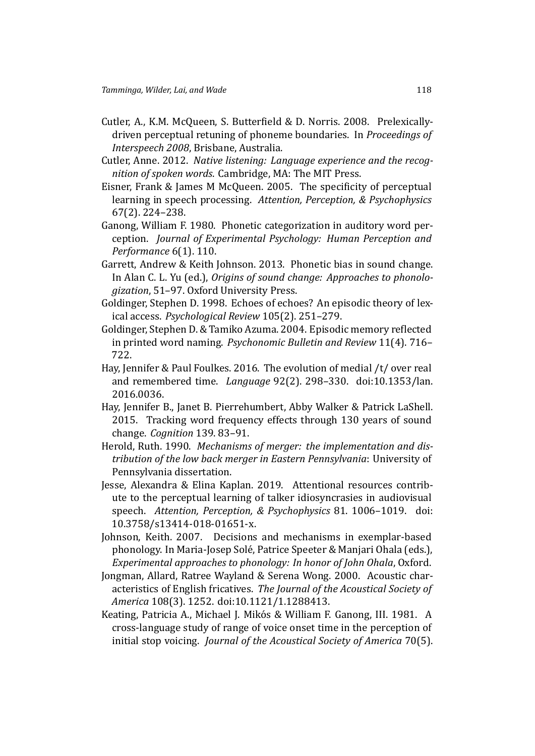- <span id="page-28-3"></span>Cutler, A., K.M. McQueen, S. Butterfield & D. Norris. 2008. Prelexicallydriven perceptual retuning of phoneme boundaries. In *Proceedings of Interspeech 2008*, Brisbane, Australia.
- <span id="page-28-10"></span>Cutler, Anne. 2012. *Native listening: Language experience and the recognition of spoken words*. Cambridge, MA: The MIT Press.
- <span id="page-28-0"></span>Eisner, Frank & James M McQueen. 2005. The specificity of perceptual learning in speech processing. *Attention, Perception, & Psychophysics* 67(2). 224–238.
- <span id="page-28-1"></span>Ganong, William F. 1980. Phonetic categorization in auditory word perception. *Journal of Experimental Psychology: Human Perception and Performance* 6(1). 110.
- <span id="page-28-7"></span>Garrett, Andrew & Keith Johnson. 2013. Phonetic bias in sound change. In Alan C. L. Yu (ed.), *Origins of sound change: Approaches to phonologization*, 51–97. Oxford University Press.
- <span id="page-28-8"></span>Goldinger, Stephen D. 1998. Echoes of echoes? An episodic theory of lexical access. *Psychological Review* 105(2). 251–279.
- <span id="page-28-9"></span>Goldinger, Stephen D. & Tamiko Azuma. 2004. Episodic memory reflected in printed word naming. *Psychonomic Bulletin and Review* 11(4). 716– 722.
- <span id="page-28-6"></span>Hay, Jennifer & Paul Foulkes. 2016. The evolution of medial /t/ over real and remembered time. *Language* 92(2). 298–330. doi:10.1353/lan. 2016.0036.
- <span id="page-28-5"></span>Hay, Jennifer B., Janet B. Pierrehumbert, Abby Walker & Patrick LaShell. 2015. Tracking word frequency effects through 130 years of sound change. *Cognition* 139. 83–91.
- Herold, Ruth. 1990. *Mechanisms of merger: the implementation and distribution of the low back merger in Eastern Pennsylvania*: University of Pennsylvania dissertation.
- <span id="page-28-2"></span>Jesse, Alexandra & Elina Kaplan. 2019. Attentional resources contribute to the perceptual learning of talker idiosyncrasies in audiovisual speech. *Attention, Perception, & Psychophysics* 81. 1006–1019. doi: 10.3758/s13414-018-01651-x.
- <span id="page-28-4"></span>Johnson, Keith. 2007. Decisions and mechanisms in exemplar-based phonology. In Maria-Josep Solé, Patrice Speeter & Manjari Ohala (eds.), *Experimental approaches to phonology: In honor of John Ohala*, Oxford.
- <span id="page-28-11"></span>Jongman, Allard, Ratree Wayland & Serena Wong. 2000. Acoustic characteristics of English fricatives. *The Journal of the Acoustical Society of America* 108(3). 1252. doi:10.1121/1.1288413.
- <span id="page-28-12"></span>Keating, Patricia A., Michael J. Mikós & William F. Ganong, III. 1981. A cross-language study of range of voice onset time in the perception of initial stop voicing. *Journal of the Acoustical Society of America* 70(5).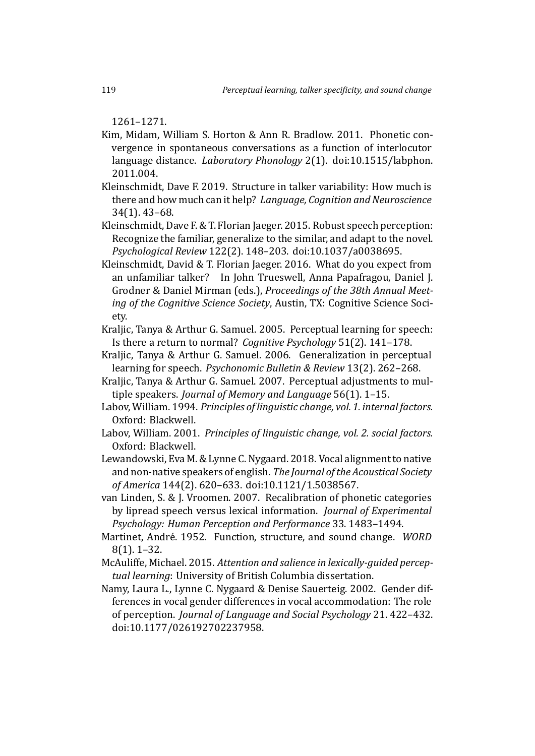1261–1271.

- <span id="page-29-6"></span>Kim, Midam, William S. Horton & Ann R. Bradlow. 2011. Phonetic convergence in spontaneous conversations as a function of interlocutor language distance. *Laboratory Phonology* 2(1). doi:10.1515/labphon. 2011.004.
- <span id="page-29-12"></span>Kleinschmidt, Dave F. 2019. Structure in talker variability: How much is there and how much can it help? *Language, Cognition and Neuroscience* 34(1). 43–68.
- <span id="page-29-10"></span>Kleinschmidt, Dave F. & T. Florian Jaeger. 2015. Robust speech perception: Recognize the familiar, generalize to the similar, and adapt to the novel. *Psychological Review* 122(2). 148–203. doi:10.1037/a0038695.
- <span id="page-29-11"></span>Kleinschmidt, David & T. Florian Jaeger. 2016. What do you expect from an unfamiliar talker? In John Trueswell, Anna Papafragou, Daniel J. Grodner & Daniel Mirman (eds.), *Proceedings of the 38th Annual Meeting of the Cognitive Science Society*, Austin, TX: Cognitive Science Society.
- <span id="page-29-0"></span>Kraljic, Tanya & Arthur G. Samuel. 2005. Perceptual learning for speech: Is there a return to normal? *Cognitive Psychology* 51(2). 141–178.
- <span id="page-29-8"></span>Kraljic, Tanya & Arthur G. Samuel. 2006. Generalization in perceptual learning for speech. *Psychonomic Bulletin & Review* 13(2). 262–268.
- <span id="page-29-9"></span>Kraljic, Tanya & Arthur G. Samuel. 2007. Perceptual adjustments to multiple speakers. *Journal of Memory and Language* 56(1). 1–15.
- <span id="page-29-4"></span>Labov, William. 1994. *Principles of linguistic change, vol. 1. internal factors.* Oxford: Blackwell.
- <span id="page-29-13"></span>Labov, William. 2001. *Principles of linguistic change, vol. 2. social factors.* Oxford: Blackwell.
- <span id="page-29-7"></span>Lewandowski, Eva M. & Lynne C. Nygaard. 2018. Vocal alignment to native and non-native speakers of english. *The Journal of the Acoustical Society of America* 144(2). 620–633. doi:10.1121/1.5038567.

<span id="page-29-1"></span>van Linden, S. & J. Vroomen. 2007. Recalibration of phonetic categories by lipread speech versus lexical information. *Journal of Experimental Psychology: Human Perception and Performance* 33. 1483–1494.

- <span id="page-29-3"></span>Martinet, André. 1952. Function, structure, and sound change. *WORD* 8(1). 1–32.
- <span id="page-29-2"></span>McAuliffe, Michael. 2015. *Attention and salience in lexically-guided perceptual learning*: University of British Columbia dissertation.
- <span id="page-29-5"></span>Namy, Laura L., Lynne C. Nygaard & Denise Sauerteig. 2002. Gender differences in vocal gender differences in vocal accommodation: The role of perception. *Journal of Language and Social Psychology* 21. 422–432. doi:10.1177/026192702237958.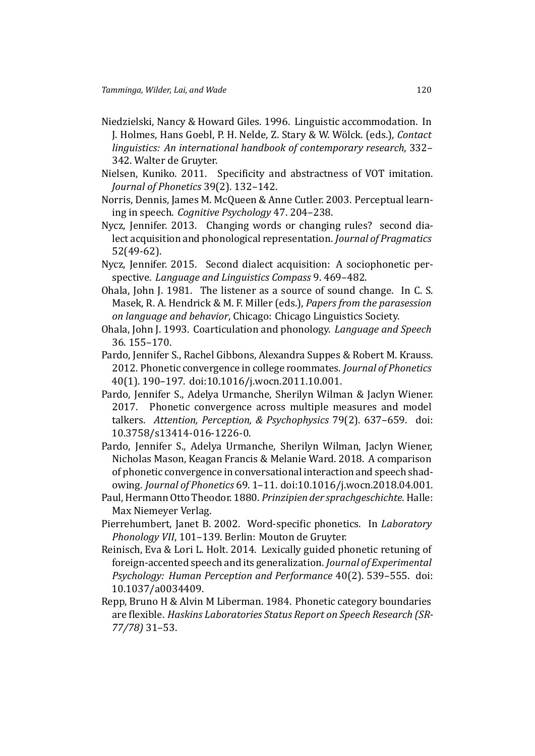- <span id="page-30-7"></span>Niedzielski, Nancy & Howard Giles. 1996. Linguistic accommodation. In J. Holmes, Hans Goebl, P. H. Nelde, Z. Stary & W. Wölck. (eds.), *Contact linguistics: An international handbook of contemporary research*, 332– 342. Walter de Gruyter.
- <span id="page-30-2"></span>Nielsen, Kuniko. 2011. Specificity and abstractness of VOT imitation. *Journal of Phonetics* 39(2). 132–142.
- <span id="page-30-4"></span>Norris, Dennis, James M. McQueen & Anne Cutler. 2003. Perceptual learning in speech. *Cognitive Psychology* 47. 204–238.
- <span id="page-30-8"></span>Nycz, Jennifer. 2013. Changing words or changing rules? second dialect acquisition and phonological representation. *Journal of Pragmatics* 52(49-62).
- <span id="page-30-9"></span>Nycz, Jennifer. 2015. Second dialect acquisition: A sociophonetic perspective. *Language and Linguistics Compass* 9. 469–482.
- <span id="page-30-1"></span>Ohala, John J. 1981. The listener as a source of sound change. In C. S. Masek, R. A. Hendrick & M. F. Miller (eds.), *Papers from the parasession on language and behavior*, Chicago: Chicago Linguistics Society.
- <span id="page-30-5"></span>Ohala, John J. 1993. Coarticulation and phonology. *Language and Speech* 36. 155–170.
- <span id="page-30-3"></span>Pardo, Jennifer S., Rachel Gibbons, Alexandra Suppes & Robert M. Krauss. 2012. Phonetic convergence in college roommates. *Journal of Phonetics* 40(1). 190–197. doi:10.1016/j.wocn.2011.10.001.
- <span id="page-30-10"></span>Pardo, Jennifer S., Adelya Urmanche, Sherilyn Wilman & Jaclyn Wiener. 2017. Phonetic convergence across multiple measures and model talkers. *Attention, Perception, & Psychophysics* 79(2). 637–659. doi: 10.3758/s13414-016-1226-0.
- <span id="page-30-11"></span>Pardo, Jennifer S., Adelya Urmanche, Sherilyn Wilman, Jaclyn Wiener, Nicholas Mason, Keagan Francis & Melanie Ward. 2018. A comparison of phonetic convergence in conversational interaction and speech shadowing. *Journal of Phonetics* 69. 1–11. doi:10.1016/j.wocn.2018.04.001.
- <span id="page-30-6"></span>Paul, Hermann Otto Theodor. 1880. *Prinzipien der sprachgeschichte*. Halle: Max Niemeyer Verlag.
- <span id="page-30-12"></span>Pierrehumbert, Janet B. 2002. Word-specific phonetics. In *Laboratory Phonology VII*, 101–139. Berlin: Mouton de Gruyter.
- <span id="page-30-13"></span>Reinisch, Eva & Lori L. Holt. 2014. Lexically guided phonetic retuning of foreign-accented speech and its generalization. *Journal of Experimental Psychology: Human Perception and Performance* 40(2). 539–555. doi: 10.1037/a0034409.
- <span id="page-30-0"></span>Repp, Bruno H & Alvin M Liberman. 1984. Phonetic category boundaries are flexible. *Haskins Laboratories Status Report on Speech Research (SR-77/78)* 31–53.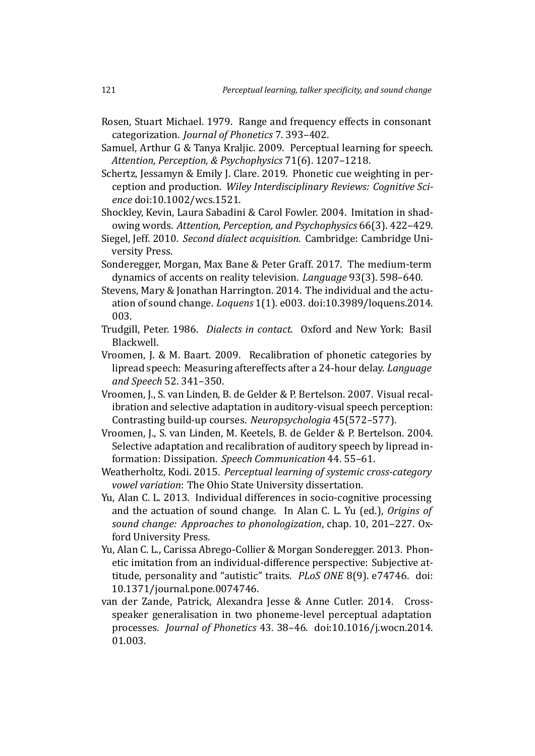- <span id="page-31-14"></span>Rosen, Stuart Michael. 1979. Range and frequency effects in consonant categorization. *Journal of Phonetics* 7. 393–402.
- <span id="page-31-0"></span>Samuel, Arthur G & Tanya Kraljic. 2009. Perceptual learning for speech. *Attention, Perception, & Psychophysics* 71(6). 1207–1218.
- <span id="page-31-7"></span>Schertz, Jessamyn & Emily J. Clare. 2019. Phonetic cue weighting in perception and production. *Wiley Interdisciplinary Reviews: Cognitive Science* doi:10.1002/wcs.1521.
- <span id="page-31-1"></span>Shockley, Kevin, Laura Sabadini & Carol Fowler. 2004. Imitation in shadowing words. *Attention, Perception, and Psychophysics* 66(3). 422–429.
- <span id="page-31-9"></span>Siegel, Jeff. 2010. *Second dialect acquisition*. Cambridge: Cambridge University Press.
- <span id="page-31-2"></span>Sonderegger, Morgan, Max Bane & Peter Graff. 2017. The medium-term dynamics of accents on reality television. *Language* 93(3). 598–640.
- <span id="page-31-12"></span>Stevens, Mary & Jonathan Harrington. 2014. The individual and the actuation of sound change. *Loquens* 1(1). e003. doi:10.3989/loquens.2014. 003.
- <span id="page-31-8"></span>Trudgill, Peter. 1986. *Dialects in contact*. Oxford and New York: Basil Blackwell.
- <span id="page-31-5"></span>Vroomen, J. & M. Baart. 2009. Recalibration of phonetic categories by lipread speech: Measuring aftereffects after a 24-hour delay. *Language and Speech* 52. 341–350.
- <span id="page-31-4"></span>Vroomen, J., S. van Linden, B. de Gelder & P. Bertelson. 2007. Visual recalibration and selective adaptation in auditory-visual speech perception: Contrasting build-up courses. *Neuropsychologia* 45(572–577).
- <span id="page-31-3"></span>Vroomen, J., S. van Linden, M. Keetels, B. de Gelder & P. Bertelson. 2004. Selective adaptation and recalibration of auditory speech by lipread information: Dissipation. *Speech Communication* 44. 55–61.
- <span id="page-31-13"></span>Weatherholtz, Kodi. 2015. *Perceptual learning of systemic cross-category vowel variation*: The Ohio State University dissertation.
- <span id="page-31-11"></span>Yu, Alan C. L. 2013. Individual differences in socio-cognitive processing and the actuation of sound change. In Alan C. L. Yu (ed.), *Origins of sound change: Approaches to phonologization*, chap. 10, 201–227. Oxford University Press.
- <span id="page-31-10"></span>Yu, Alan C. L., Carissa Abrego-Collier & Morgan Sonderegger. 2013. Phonetic imitation from an individual-difference perspective: Subjective attitude, personality and "autistic" traits. *PLoS ONE* 8(9). e74746. doi: 10.1371/journal.pone.0074746.
- <span id="page-31-6"></span>van der Zande, Patrick, Alexandra Jesse & Anne Cutler. 2014. Crossspeaker generalisation in two phoneme-level perceptual adaptation processes. *Journal of Phonetics* 43. 38–46. doi:10.1016/j.wocn.2014. 01.003.